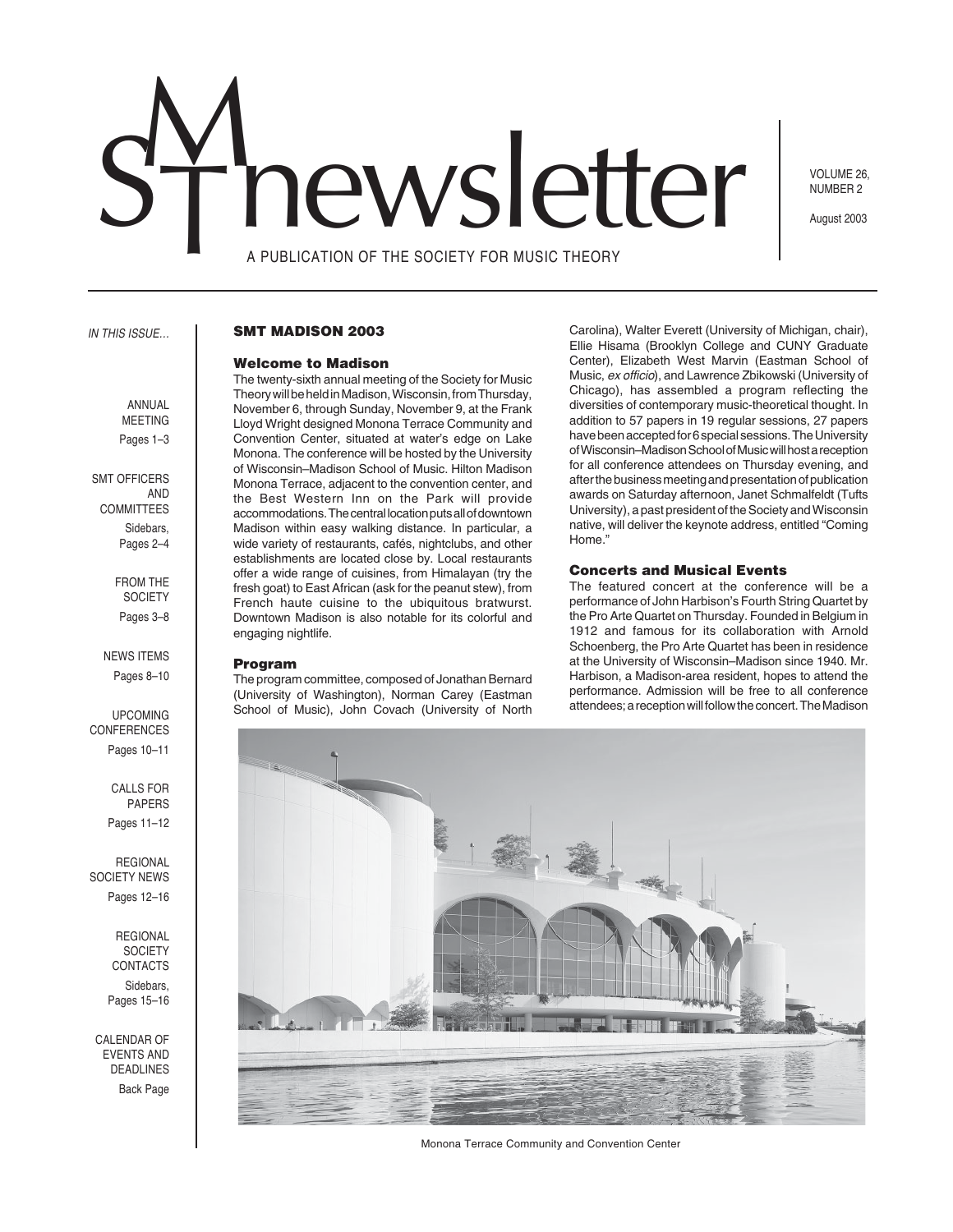# newsletter

VOLUME 26, NUMBER 2

August 2003

A PUBLICATION OF THE SOCIETY FOR MUSIC THEORY

#### IN THIS ISSUE…

# **SMT MADISON 2003**

#### **Welcome to Madison**

The twenty-sixth annual meeting of the Society for Music Theory will be held in Madison, Wisconsin, from Thursday, November 6, through Sunday, November 9, at the Frank Lloyd Wright designed Monona Terrace Community and Convention Center, situated at water's edge on Lake Monona. The conference will be hosted by the University of Wisconsin–Madison School of Music. Hilton Madison Monona Terrace, adjacent to the convention center, and the Best Western Inn on the Park will provide accommodations. The central location puts all of downtown Madison within easy walking distance. In particular, a wide variety of restaurants, cafés, nightclubs, and other establishments are located close by. Local restaurants offer a wide range of cuisines, from Himalayan (try the fresh goat) to East African (ask for the peanut stew), from French haute cuisine to the ubiquitous bratwurst. Downtown Madison is also notable for its colorful and engaging nightlife.

#### **Program**

The program committee, composed of Jonathan Bernard (University of Washington), Norman Carey (Eastman School of Music), John Covach (University of North

Carolina), Walter Everett (University of Michigan, chair), Ellie Hisama (Brooklyn College and CUNY Graduate Center), Elizabeth West Marvin (Eastman School of Music, ex officio), and Lawrence Zbikowski (University of Chicago), has assembled a program reflecting the diversities of contemporary music-theoretical thought. In addition to 57 papers in 19 regular sessions, 27 papers have been accepted for 6 special sessions. The University of Wisconsin–Madison School of Music will host a reception for all conference attendees on Thursday evening, and after the business meeting and presentation of publication awards on Saturday afternoon, Janet Schmalfeldt (Tufts University), a past president of the Society and Wisconsin native, will deliver the keynote address, entitled "Coming Home<sup>"</sup>

## **Concerts and Musical Events**

The featured concert at the conference will be a performance of John Harbison's Fourth String Quartet by the Pro Arte Quartet on Thursday. Founded in Belgium in 1912 and famous for its collaboration with Arnold Schoenberg, the Pro Arte Quartet has been in residence at the University of Wisconsin–Madison since 1940. Mr. Harbison, a Madison-area resident, hopes to attend the performance. Admission will be free to all conference attendees; a reception will follow the concert. The Madison



Monona Terrace Community and Convention Center

ANNUAL

MEETING Pages 1–3

 SMT OFFICERS AND COMMITTEES Sidebars, Pages 2–4

> FROM THE **SOCIETY** Pages 3–8

NEWS ITEMS Pages 8–10

UPCOMING CONFERENCES Pages 10–11

> CALLS FOR PAPERS Pages 11–12

REGIONAL SOCIETY NEWS Pages 12–16

> REGIONAL **SOCIETY** CONTACTS Sidebars, Pages 15–16

CALENDAR OF EVENTS AND DEADLINES Back Page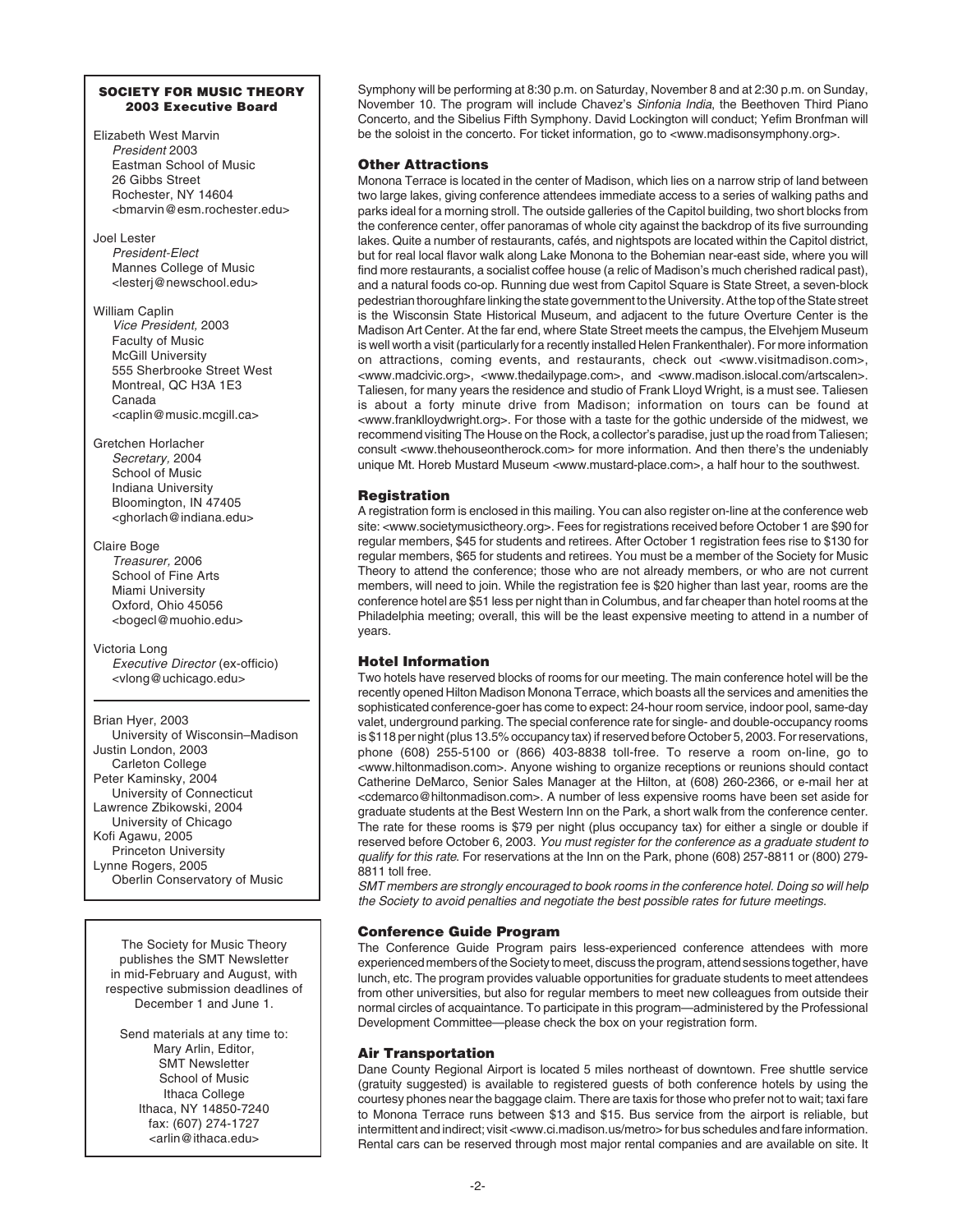## **SOCIETY FOR MUSIC THEORY 2003 Executive Board**

Elizabeth West Marvin President 2003 Eastman School of Music 26 Gibbs Street Rochester, NY 14604 <bmarvin@esm.rochester.edu>

Joel Lester President-Elect Mannes College of Music <lesterj@newschool.edu>

William Caplin Vice President, 2003 Faculty of Music McGill University 555 Sherbrooke Street West Montreal, QC H3A 1E3 Canada <caplin@music.mcgill.ca>

Gretchen Horlacher Secretary, 2004 School of Music Indiana University Bloomington, IN 47405 <ghorlach@indiana.edu>

Claire Boge Treasurer, 2006 School of Fine Arts Miami University Oxford, Ohio 45056 <bogecl@muohio.edu>

Victoria Long Executive Director (ex-officio) <vlong@uchicago.edu>

Brian Hyer, 2003 University of Wisconsin–Madison Justin London, 2003 Carleton College Peter Kaminsky, 2004 University of Connecticut Lawrence Zbikowski, 2004 University of Chicago Kofi Agawu, 2005 Princeton University Lynne Rogers, 2005 Oberlin Conservatory of Music

The Society for Music Theory publishes the SMT Newsletter in mid-February and August, with respective submission deadlines of December 1 and June 1.

Send materials at any time to: Mary Arlin, Editor, SMT Newsletter School of Music Ithaca College Ithaca, NY 14850-7240 fax: (607) 274-1727 <arlin@ithaca.edu>

Symphony will be performing at 8:30 p.m. on Saturday, November 8 and at 2:30 p.m. on Sunday, November 10. The program will include Chavez's Sinfonia India, the Beethoven Third Piano Concerto, and the Sibelius Fifth Symphony. David Lockington will conduct; Yefim Bronfman will be the soloist in the concerto. For ticket information, go to <www.madisonsymphony.org>.

# **Other Attractions**

Monona Terrace is located in the center of Madison, which lies on a narrow strip of land between two large lakes, giving conference attendees immediate access to a series of walking paths and parks ideal for a morning stroll. The outside galleries of the Capitol building, two short blocks from the conference center, offer panoramas of whole city against the backdrop of its five surrounding lakes. Quite a number of restaurants, cafés, and nightspots are located within the Capitol district, but for real local flavor walk along Lake Monona to the Bohemian near-east side, where you will find more restaurants, a socialist coffee house (a relic of Madison's much cherished radical past), and a natural foods co-op. Running due west from Capitol Square is State Street, a seven-block pedestrian thoroughfare linking the state government to the University. At the top of the State street is the Wisconsin State Historical Museum, and adjacent to the future Overture Center is the Madison Art Center. At the far end, where State Street meets the campus, the Elvehjem Museum is well worth a visit (particularly for a recently installed Helen Frankenthaler). For more information on attractions, coming events, and restaurants, check out <www.visitmadison.com>, <www.madcivic.org>, <www.thedailypage.com>, and <www.madison.islocal.com/artscalen>. Taliesen, for many years the residence and studio of Frank Lloyd Wright, is a must see. Taliesen is about a forty minute drive from Madison; information on tours can be found at <www.franklloydwright.org>. For those with a taste for the gothic underside of the midwest, we recommend visiting The House on the Rock, a collector's paradise, just up the road from Taliesen; consult <www.thehouseontherock.com> for more information. And then there's the undeniably unique Mt. Horeb Mustard Museum <www.mustard-place.com>, a half hour to the southwest.

# **Registration**

A registration form is enclosed in this mailing. You can also register on-line at the conference web site: <www.societymusictheory.org>. Fees for registrations received before October 1 are \$90 for regular members, \$45 for students and retirees. After October 1 registration fees rise to \$130 for regular members, \$65 for students and retirees. You must be a member of the Society for Music Theory to attend the conference; those who are not already members, or who are not current members, will need to join. While the registration fee is \$20 higher than last year, rooms are the conference hotel are \$51 less per night than in Columbus, and far cheaper than hotel rooms at the Philadelphia meeting; overall, this will be the least expensive meeting to attend in a number of years.

# **Hotel Information**

Two hotels have reserved blocks of rooms for our meeting. The main conference hotel will be the recently opened Hilton Madison Monona Terrace, which boasts all the services and amenities the sophisticated conference-goer has come to expect: 24-hour room service, indoor pool, same-day valet, underground parking. The special conference rate for single- and double-occupancy rooms is \$118 per night (plus 13.5% occupancy tax) if reserved before October 5, 2003. For reservations, phone (608) 255-5100 or (866) 403-8838 toll-free. To reserve a room on-line, go to <www.hiltonmadison.com>. Anyone wishing to organize receptions or reunions should contact Catherine DeMarco, Senior Sales Manager at the Hilton, at (608) 260-2366, or e-mail her at <cdemarco@hiltonmadison.com>. A number of less expensive rooms have been set aside for graduate students at the Best Western Inn on the Park, a short walk from the conference center. The rate for these rooms is \$79 per night (plus occupancy tax) for either a single or double if reserved before October 6, 2003. You must register for the conference as a graduate student to qualify for this rate. For reservations at the Inn on the Park, phone (608) 257-8811 or (800) 279- 8811 toll free.

SMT members are strongly encouraged to book rooms in the conference hotel. Doing so will help the Society to avoid penalties and negotiate the best possible rates for future meetings.

# **Conference Guide Program**

The Conference Guide Program pairs less-experienced conference attendees with more experienced members of the Society to meet, discuss the program, attend sessions together, have lunch, etc. The program provides valuable opportunities for graduate students to meet attendees from other universities, but also for regular members to meet new colleagues from outside their normal circles of acquaintance. To participate in this program—administered by the Professional Development Committee—please check the box on your registration form.

## **Air Transportation**

Dane County Regional Airport is located 5 miles northeast of downtown. Free shuttle service (gratuity suggested) is available to registered guests of both conference hotels by using the courtesy phones near the baggage claim. There are taxis for those who prefer not to wait; taxi fare to Monona Terrace runs between \$13 and \$15. Bus service from the airport is reliable, but intermittent and indirect; visit <www.ci.madison.us/metro> for bus schedules and fare information. Rental cars can be reserved through most major rental companies and are available on site. It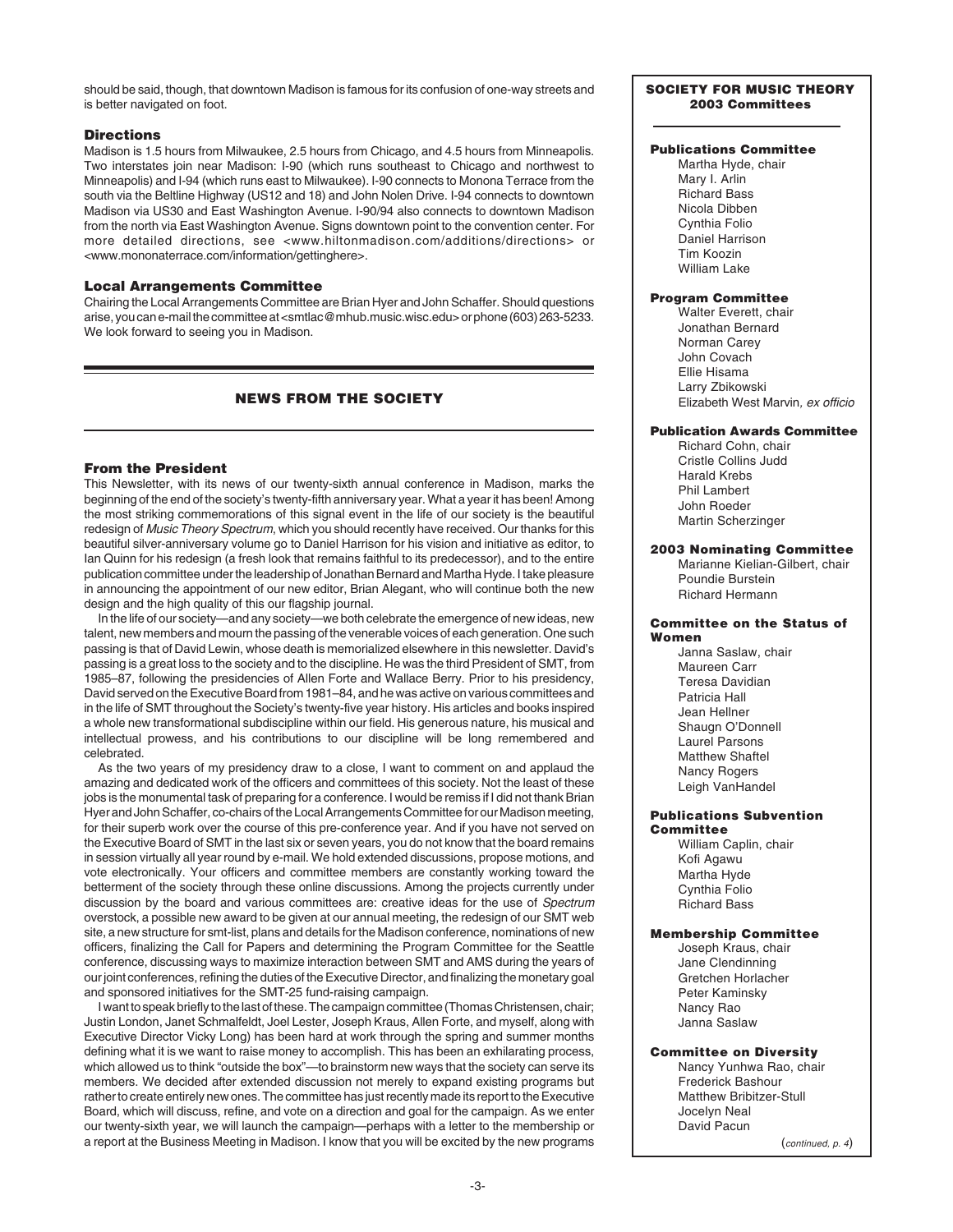should be said, though, that downtown Madison is famous for its confusion of one-way streets and is better navigated on foot.

#### **Directions**

Madison is 1.5 hours from Milwaukee, 2.5 hours from Chicago, and 4.5 hours from Minneapolis. Two interstates join near Madison: I-90 (which runs southeast to Chicago and northwest to Minneapolis) and I-94 (which runs east to Milwaukee). I-90 connects to Monona Terrace from the south via the Beltline Highway (US12 and 18) and John Nolen Drive. I-94 connects to downtown Madison via US30 and East Washington Avenue. I-90/94 also connects to downtown Madison from the north via East Washington Avenue. Signs downtown point to the convention center. For more detailed directions, see <www.hiltonmadison.com/additions/directions> or <www.mononaterrace.com/information/gettinghere>.

#### **Local Arrangements Committee**

Chairing the Local Arrangements Committee are Brian Hyer and John Schaffer. Should questions arise, you can e-mail the committee at <smtlac@mhub.music.wisc.edu> or phone (603) 263-5233. We look forward to seeing you in Madison.

# **NEWS FROM THE SOCIETY**

### **From the President**

This Newsletter, with its news of our twenty-sixth annual conference in Madison, marks the beginning of the end of the society's twenty-fifth anniversary year. What a year it has been! Among the most striking commemorations of this signal event in the life of our society is the beautiful redesign of Music Theory Spectrum, which you should recently have received. Our thanks for this beautiful silver-anniversary volume go to Daniel Harrison for his vision and initiative as editor, to Ian Quinn for his redesign (a fresh look that remains faithful to its predecessor), and to the entire publication committee under the leadership of Jonathan Bernard and Martha Hyde. I take pleasure in announcing the appointment of our new editor, Brian Alegant, who will continue both the new design and the high quality of this our flagship journal.

In the life of our society—and any society—we both celebrate the emergence of new ideas, new talent, new members and mourn the passing of the venerable voices of each generation. One such passing is that of David Lewin, whose death is memorialized elsewhere in this newsletter. David's passing is a great loss to the society and to the discipline. He was the third President of SMT, from 1985–87, following the presidencies of Allen Forte and Wallace Berry. Prior to his presidency, David served on the Executive Board from 1981–84, and he was active on various committees and in the life of SMT throughout the Society's twenty-five year history. His articles and books inspired a whole new transformational subdiscipline within our field. His generous nature, his musical and intellectual prowess, and his contributions to our discipline will be long remembered and celebrated.

As the two years of my presidency draw to a close, I want to comment on and applaud the amazing and dedicated work of the officers and committees of this society. Not the least of these jobs is the monumental task of preparing for a conference. I would be remiss if I did not thank Brian Hyer and John Schaffer, co-chairs of the Local Arrangements Committee for our Madison meeting, for their superb work over the course of this pre-conference year. And if you have not served on the Executive Board of SMT in the last six or seven years, you do not know that the board remains in session virtually all year round by e-mail. We hold extended discussions, propose motions, and vote electronically. Your officers and committee members are constantly working toward the betterment of the society through these online discussions. Among the projects currently under discussion by the board and various committees are: creative ideas for the use of Spectrum overstock, a possible new award to be given at our annual meeting, the redesign of our SMT web site, a new structure for smt-list, plans and details for the Madison conference, nominations of new officers, finalizing the Call for Papers and determining the Program Committee for the Seattle conference, discussing ways to maximize interaction between SMT and AMS during the years of our joint conferences, refining the duties of the Executive Director, and finalizing the monetary goal and sponsored initiatives for the SMT-25 fund-raising campaign.

I want to speak briefly to the last of these. The campaign committee (Thomas Christensen, chair; Justin London, Janet Schmalfeldt, Joel Lester, Joseph Kraus, Allen Forte, and myself, along with Executive Director Vicky Long) has been hard at work through the spring and summer months defining what it is we want to raise money to accomplish. This has been an exhilarating process, which allowed us to think "outside the box"—to brainstorm new ways that the society can serve its members. We decided after extended discussion not merely to expand existing programs but rather to create entirely new ones. The committee has just recently made its report to the Executive Board, which will discuss, refine, and vote on a direction and goal for the campaign. As we enter our twenty-sixth year, we will launch the campaign—perhaps with a letter to the membership or a report at the Business Meeting in Madison. I know that you will be excited by the new programs (continued, p. 4)

## **SOCIETY FOR MUSIC THEORY 2003 Committees**

# **Publications Committee**

Martha Hyde, chair Mary I. Arlin Richard Bass Nicola Dibben Cynthia Folio Daniel Harrison Tim Koozin William Lake

# **Program Committee**

Walter Everett, chair Jonathan Bernard Norman Carey John Covach Ellie Hisama Larry Zbikowski Elizabeth West Marvin, ex officio

## **Publication Awards Committee**

Richard Cohn, chair Cristle Collins Judd Harald Krebs Phil Lambert John Roeder Martin Scherzinger

#### **2003 Nominating Committee**

Marianne Kielian-Gilbert, chair Poundie Burstein Richard Hermann

#### **Committee on the Status of Women**

Janna Saslaw, chair Maureen Carr Teresa Davidian Patricia Hall Jean Hellner Shaugn O'Donnell Laurel Parsons Matthew Shaftel Nancy Rogers Leigh VanHandel

#### **Publications Subvention Committee**

William Caplin, chair Kofi Agawu Martha Hyde Cynthia Folio Richard Bass

## **Membership Committee**

Joseph Kraus, chair Jane Clendinning Gretchen Horlacher Peter Kaminsky Nancy Rao Janna Saslaw

## **Committee on Diversity**

Nancy Yunhwa Rao, chair Frederick Bashour Matthew Bribitzer-Stull Jocelyn Neal David Pacun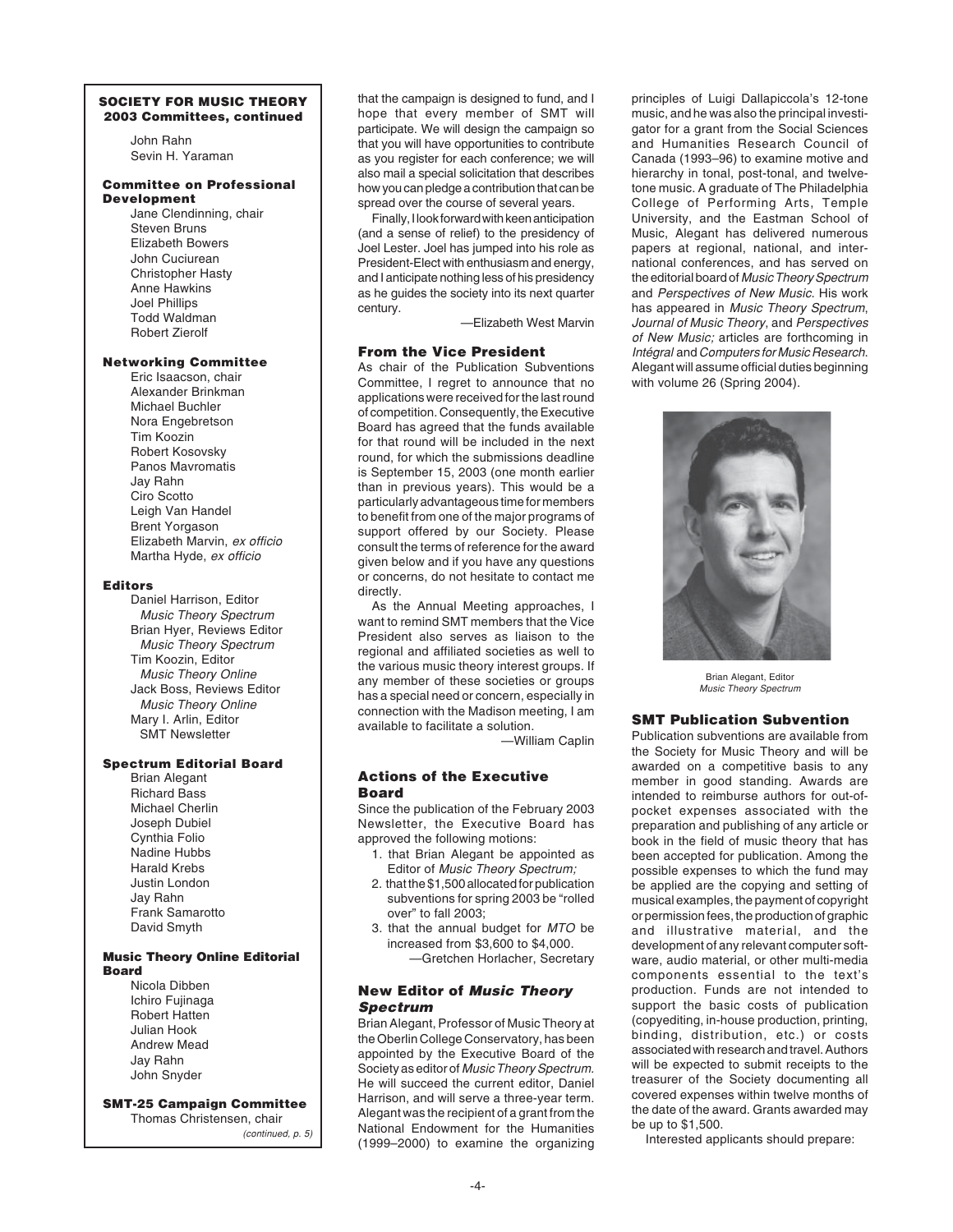#### **SOCIETY FOR MUSIC THEORY 2003 Committees, continued**

John Rahn Sevin H. Yaraman

#### **Committee on Professional Development**

Jane Clendinning, chair Steven Bruns Elizabeth Bowers John Cuciurean Christopher Hasty Anne Hawkins Joel Phillips Todd Waldman Robert Zierolf

#### **Networking Committee**

Eric Isaacson, chair Alexander Brinkman Michael Buchler Nora Engebretson Tim Koozin Robert Kosovsky Panos Mavromatis Jay Rahn Ciro Scotto Leigh Van Handel Brent Yorgason Elizabeth Marvin, ex officio Martha Hyde, ex officio

#### **Editors**

Daniel Harrison, Editor Music Theory Spectrum Brian Hyer, Reviews Editor Music Theory Spectrum Tim Koozin, Editor Music Theory Online Jack Boss, Reviews Editor Music Theory Online Mary I. Arlin, Editor SMT Newsletter

## **Spectrum Editorial Board**

Brian Alegant Richard Bass Michael Cherlin Joseph Dubiel Cynthia Folio Nadine Hubbs Harald Krebs Justin London Jay Rahn Frank Samarotto David Smyth

#### **Music Theory Online Editorial Board**

Nicola Dibben Ichiro Fujinaga Robert Hatten Julian Hook Andrew Mead Jay Rahn John Snyder

**SMT-25 Campaign Committee**

Thomas Christensen, chair<br>(continued, p. 5)

that the campaign is designed to fund, and I hope that every member of SMT will participate. We will design the campaign so that you will have opportunities to contribute as you register for each conference; we will also mail a special solicitation that describes how you can pledge a contribution that can be spread over the course of several years.

Finally, I look forward with keen anticipation (and a sense of relief) to the presidency of Joel Lester. Joel has jumped into his role as President-Elect with enthusiasm and energy, and I anticipate nothing less of his presidency as he guides the society into its next quarter century.

—Elizabeth West Marvin

# **From the Vice President**

As chair of the Publication Subventions Committee, I regret to announce that no applications were received for the last round of competition. Consequently, the Executive Board has agreed that the funds available for that round will be included in the next round, for which the submissions deadline is September 15, 2003 (one month earlier than in previous years). This would be a particularly advantageous time for members to benefit from one of the major programs of support offered by our Society. Please consult the terms of reference for the award given below and if you have any questions or concerns, do not hesitate to contact me directly.

As the Annual Meeting approaches, I want to remind SMT members that the Vice President also serves as liaison to the regional and affiliated societies as well to the various music theory interest groups. If any member of these societies or groups has a special need or concern, especially in connection with the Madison meeting, I am available to facilitate a solution.

—William Caplin

## **Actions of the Executive Board**

Since the publication of the February 2003 Newsletter, the Executive Board has approved the following motions:

- 1. that Brian Alegant be appointed as Editor of Music Theory Spectrum;
- 2. that the \$1,500 allocated for publication subventions for spring 2003 be "rolled over" to fall 2003;
- 3. that the annual budget for MTO be increased from \$3,600 to \$4,000.
	- —Gretchen Horlacher, Secretary

## **New Editor of Music Theory Spectrum**

Brian Alegant, Professor of Music Theory at the Oberlin College Conservatory, has been appointed by the Executive Board of the Society as editor of Music Theory Spectrum. He will succeed the current editor, Daniel Harrison, and will serve a three-year term. Alegant was the recipient of a grant from the National Endowment for the Humanities (1999–2000) to examine the organizing principles of Luigi Dallapiccola's 12-tone music, and he was also the principal investigator for a grant from the Social Sciences and Humanities Research Council of Canada (1993–96) to examine motive and hierarchy in tonal, post-tonal, and twelvetone music. A graduate of The Philadelphia College of Performing Arts, Temple University, and the Eastman School of Music, Alegant has delivered numerous papers at regional, national, and international conferences, and has served on the editorial board of Music Theory Spectrum and Perspectives of New Music. His work has appeared in Music Theory Spectrum, Journal of Music Theory, and Perspectives of New Music; articles are forthcoming in Intégral and Computers for Music Research. Alegant will assume official duties beginning with volume 26 (Spring 2004).



Brian Alegant, Editor Music Theory Spectrum

# **SMT Publication Subvention**

Publication subventions are available from the Society for Music Theory and will be awarded on a competitive basis to any member in good standing. Awards are intended to reimburse authors for out-ofpocket expenses associated with the preparation and publishing of any article or book in the field of music theory that has been accepted for publication. Among the possible expenses to which the fund may be applied are the copying and setting of musical examples, the payment of copyright or permission fees, the production of graphic and illustrative material, and the development of any relevant computer software, audio material, or other multi-media components essential to the text's production. Funds are not intended to support the basic costs of publication (copyediting, in-house production, printing, binding, distribution, etc.) or costs associated with research and travel. Authors will be expected to submit receipts to the treasurer of the Society documenting all covered expenses within twelve months of the date of the award. Grants awarded may be up to \$1,500.

Interested applicants should prepare: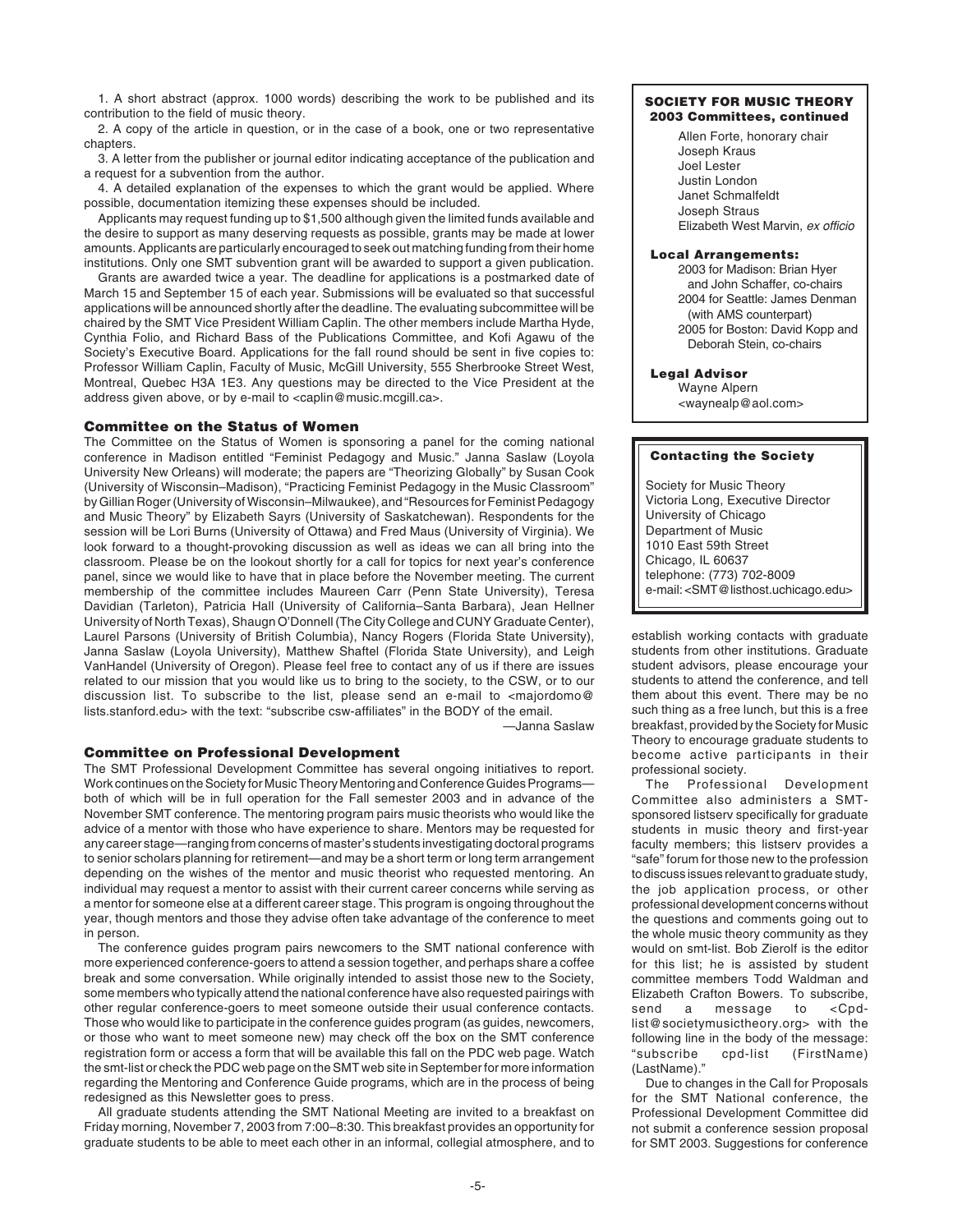1. A short abstract (approx. 1000 words) describing the work to be published and its contribution to the field of music theory.

2. A copy of the article in question, or in the case of a book, one or two representative chapters.

3. A letter from the publisher or journal editor indicating acceptance of the publication and a request for a subvention from the author.

4. A detailed explanation of the expenses to which the grant would be applied. Where possible, documentation itemizing these expenses should be included.

Applicants may request funding up to \$1,500 although given the limited funds available and the desire to support as many deserving requests as possible, grants may be made at lower amounts. Applicants are particularly encouraged to seek out matching funding from their home institutions. Only one SMT subvention grant will be awarded to support a given publication.

Grants are awarded twice a year. The deadline for applications is a postmarked date of March 15 and September 15 of each year. Submissions will be evaluated so that successful applications will be announced shortly after the deadline. The evaluating subcommittee will be chaired by the SMT Vice President William Caplin. The other members include Martha Hyde, Cynthia Folio, and Richard Bass of the Publications Committee, and Kofi Agawu of the Society's Executive Board. Applications for the fall round should be sent in five copies to: Professor William Caplin, Faculty of Music, McGill University, 555 Sherbrooke Street West, Montreal, Quebec H3A 1E3. Any questions may be directed to the Vice President at the address given above, or by e-mail to <caplin@music.mcgill.ca>.

## **Committee on the Status of Women**

The Committee on the Status of Women is sponsoring a panel for the coming national conference in Madison entitled "Feminist Pedagogy and Music." Janna Saslaw (Loyola University New Orleans) will moderate; the papers are "Theorizing Globally" by Susan Cook (University of Wisconsin–Madison), "Practicing Feminist Pedagogy in the Music Classroom" by Gillian Roger (University of Wisconsin–Milwaukee), and "Resources for Feminist Pedagogy and Music Theory" by Elizabeth Sayrs (University of Saskatchewan). Respondents for the session will be Lori Burns (University of Ottawa) and Fred Maus (University of Virginia). We look forward to a thought-provoking discussion as well as ideas we can all bring into the classroom. Please be on the lookout shortly for a call for topics for next year's conference panel, since we would like to have that in place before the November meeting. The current membership of the committee includes Maureen Carr (Penn State University), Teresa Davidian (Tarleton), Patricia Hall (University of California–Santa Barbara), Jean Hellner University of North Texas), Shaugn O'Donnell (The City College and CUNY Graduate Center), Laurel Parsons (University of British Columbia), Nancy Rogers (Florida State University), Janna Saslaw (Loyola University), Matthew Shaftel (Florida State University), and Leigh VanHandel (University of Oregon). Please feel free to contact any of us if there are issues related to our mission that you would like us to bring to the society, to the CSW, or to our discussion list. To subscribe to the list, please send an e-mail to <majordomo@ lists.stanford.edu> with the text: "subscribe csw-affiliates" in the BODY of the email.

—Janna Saslaw

## **Committee on Professional Development**

The SMT Professional Development Committee has several ongoing initiatives to report. Work continues on the Society for Music Theory Mentoring and Conference Guides Programs both of which will be in full operation for the Fall semester 2003 and in advance of the November SMT conference. The mentoring program pairs music theorists who would like the advice of a mentor with those who have experience to share. Mentors may be requested for any career stage—ranging from concerns of master's students investigating doctoral programs to senior scholars planning for retirement—and may be a short term or long term arrangement depending on the wishes of the mentor and music theorist who requested mentoring. An individual may request a mentor to assist with their current career concerns while serving as a mentor for someone else at a different career stage. This program is ongoing throughout the year, though mentors and those they advise often take advantage of the conference to meet in person.

The conference guides program pairs newcomers to the SMT national conference with more experienced conference-goers to attend a session together, and perhaps share a coffee break and some conversation. While originally intended to assist those new to the Society, some members who typically attend the national conference have also requested pairings with other regular conference-goers to meet someone outside their usual conference contacts. Those who would like to participate in the conference guides program (as guides, newcomers, or those who want to meet someone new) may check off the box on the SMT conference registration form or access a form that will be available this fall on the PDC web page. Watch the smt-list or check the PDC web page on the SMT web site in September for more information regarding the Mentoring and Conference Guide programs, which are in the process of being redesigned as this Newsletter goes to press.

All graduate students attending the SMT National Meeting are invited to a breakfast on Friday morning, November 7, 2003 from 7:00–8:30. This breakfast provides an opportunity for graduate students to be able to meet each other in an informal, collegial atmosphere, and to

#### **SOCIETY FOR MUSIC THEORY 2003 Committees, continued**

Allen Forte, honorary chair Joseph Kraus Joel Lester Justin London Janet Schmalfeldt Joseph Straus Elizabeth West Marvin, ex officio

#### **Local Arrangements:**

2003 for Madison: Brian Hyer and John Schaffer, co-chairs 2004 for Seattle: James Denman (with AMS counterpart) 2005 for Boston: David Kopp and Deborah Stein, co-chairs

# **Legal Advisor**

Wayne Alpern <waynealp@aol.com>

#### **Contacting the Society**

Society for Music Theory Victoria Long, Executive Director University of Chicago Department of Music 1010 East 59th Street Chicago, IL 60637 telephone: (773) 702-8009 e-mail: <SMT@listhost.uchicago.edu>

establish working contacts with graduate students from other institutions. Graduate student advisors, please encourage your students to attend the conference, and tell them about this event. There may be no such thing as a free lunch, but this is a free breakfast, provided by the Society for Music Theory to encourage graduate students to become active participants in their professional society.<br>The Professio

Professional Development Committee also administers a SMTsponsored listserv specifically for graduate students in music theory and first-year faculty members; this listserv provides a "safe" forum for those new to the profession to discuss issues relevant to graduate study, the job application process, or other professional development concerns without the questions and comments going out to the whole music theory community as they would on smt-list. Bob Zierolf is the editor for this list; he is assisted by student committee members Todd Waldman and Elizabeth Crafton Bowers. To subscribe, send a message to <Cpdlist@societymusictheory.org> with the following line in the body of the message: "subscribe cpd-list (FirstName) (LastName)."

Due to changes in the Call for Proposals for the SMT National conference, the Professional Development Committee did not submit a conference session proposal for SMT 2003. Suggestions for conference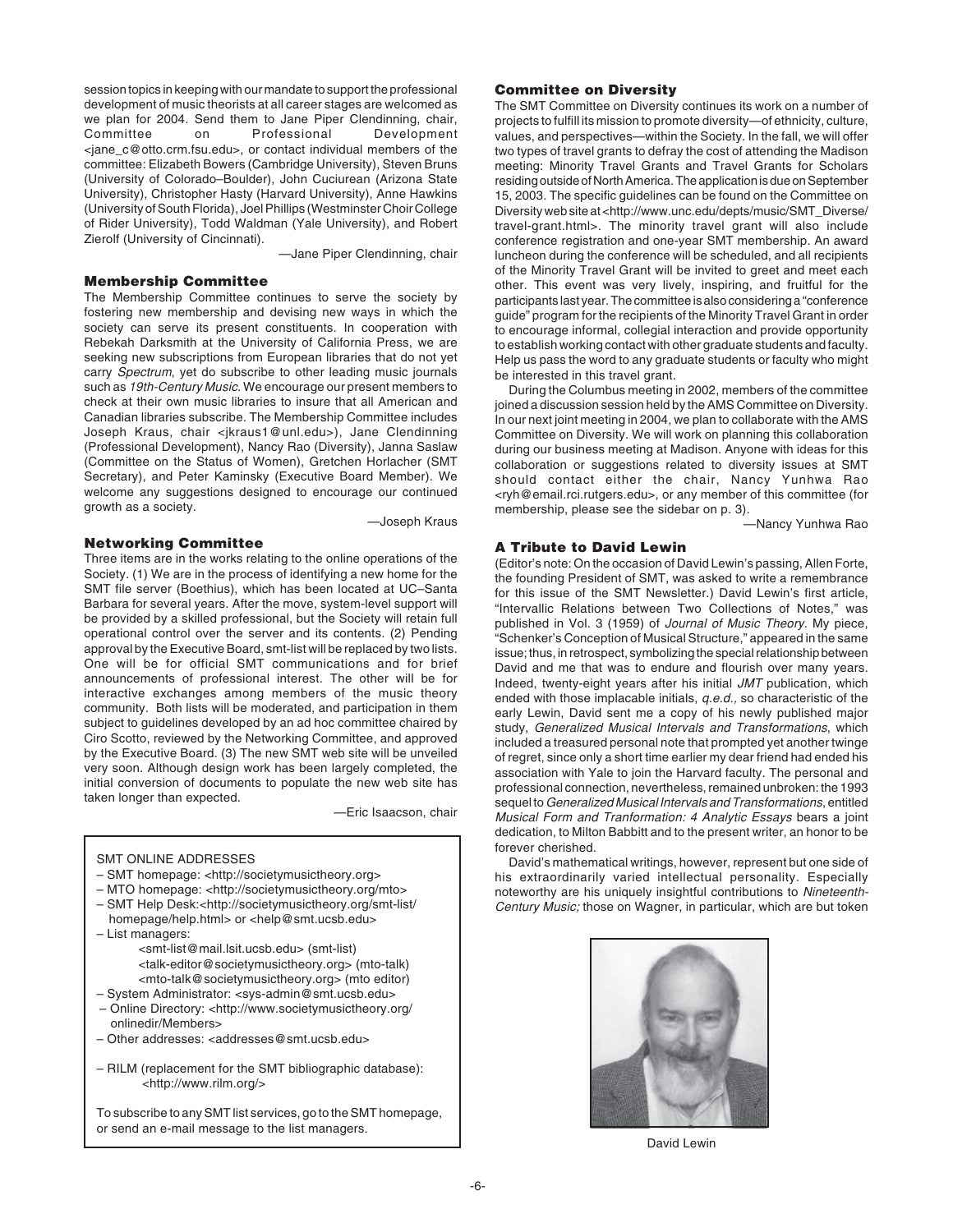session topics in keeping with our mandate to support the professional development of music theorists at all career stages are welcomed as we plan for 2004. Send them to Jane Piper Clendinning, chair, Committee on Professional Development <jane\_c@otto.crm.fsu.edu>, or contact individual members of the committee: Elizabeth Bowers (Cambridge University), Steven Bruns (University of Colorado–Boulder), John Cuciurean (Arizona State University), Christopher Hasty (Harvard University), Anne Hawkins (University of South Florida), Joel Phillips (Westminster Choir College of Rider University), Todd Waldman (Yale University), and Robert Zierolf (University of Cincinnati).

—Jane Piper Clendinning, chair

## **Membership Committee**

The Membership Committee continues to serve the society by fostering new membership and devising new ways in which the society can serve its present constituents. In cooperation with Rebekah Darksmith at the University of California Press, we are seeking new subscriptions from European libraries that do not yet carry Spectrum, yet do subscribe to other leading music journals such as 19th-Century Music. We encourage our present members to check at their own music libraries to insure that all American and Canadian libraries subscribe. The Membership Committee includes Joseph Kraus, chair <jkraus1@unl.edu>), Jane Clendinning (Professional Development), Nancy Rao (Diversity), Janna Saslaw (Committee on the Status of Women), Gretchen Horlacher (SMT Secretary), and Peter Kaminsky (Executive Board Member). We welcome any suggestions designed to encourage our continued growth as a society.

—Joseph Kraus

## **Networking Committee**

Three items are in the works relating to the online operations of the Society. (1) We are in the process of identifying a new home for the SMT file server (Boethius), which has been located at UC–Santa Barbara for several years. After the move, system-level support will be provided by a skilled professional, but the Society will retain full operational control over the server and its contents. (2) Pending approval by the Executive Board, smt-list will be replaced by two lists. One will be for official SMT communications and for brief announcements of professional interest. The other will be for interactive exchanges among members of the music theory community. Both lists will be moderated, and participation in them subject to guidelines developed by an ad hoc committee chaired by Ciro Scotto, reviewed by the Networking Committee, and approved by the Executive Board. (3) The new SMT web site will be unveiled very soon. Although design work has been largely completed, the initial conversion of documents to populate the new web site has taken longer than expected.

—Eric Isaacson, chair

## SMT ONLINE ADDRESSES

- SMT homepage: <http://societymusictheory.org>
- MTO homepage: <http://societymusictheory.org/mto>
- SMT Help Desk:<http://societymusictheory.org/smt-list/ homepage/help.html> or <help@smt.ucsb.edu>
- List managers:
	- <smt-list@mail.lsit.ucsb.edu> (smt-list) <talk-editor@societymusictheory.org> (mto-talk) <mto-talk@societymusictheory.org> (mto editor)
- System Administrator: <sys-admin@smt.ucsb.edu> – Online Directory: <http://www.societymusictheory.org/ onlinedir/Members>
- Other addresses: <addresses@smt.ucsb.edu>
- RILM (replacement for the SMT bibliographic database): <http://www.rilm.org/>

To subscribe to any SMT list services, go to the SMT homepage, or send an e-mail message to the list managers.

## **Committee on Diversity**

The SMT Committee on Diversity continues its work on a number of projects to fulfill its mission to promote diversity—of ethnicity, culture, values, and perspectives—within the Society. In the fall, we will offer two types of travel grants to defray the cost of attending the Madison meeting: Minority Travel Grants and Travel Grants for Scholars residing outside of North America. The application is due on September 15, 2003. The specific guidelines can be found on the Committee on Diversity web site at <http://www.unc.edu/depts/music/SMT\_Diverse/ travel-grant.html>. The minority travel grant will also include conference registration and one-year SMT membership. An award luncheon during the conference will be scheduled, and all recipients of the Minority Travel Grant will be invited to greet and meet each other. This event was very lively, inspiring, and fruitful for the participants last year. The committee is also considering a "conference guide" program for the recipients of the Minority Travel Grant in order to encourage informal, collegial interaction and provide opportunity to establish working contact with other graduate students and faculty. Help us pass the word to any graduate students or faculty who might be interested in this travel grant.

During the Columbus meeting in 2002, members of the committee joined a discussion session held by the AMS Committee on Diversity. In our next joint meeting in 2004, we plan to collaborate with the AMS Committee on Diversity. We will work on planning this collaboration during our business meeting at Madison. Anyone with ideas for this collaboration or suggestions related to diversity issues at SMT should contact either the chair, Nancy Yunhwa Rao <ryh@email.rci.rutgers.edu>, or any member of this committee (for membership, please see the sidebar on p. 3).

—Nancy Yunhwa Rao

## **A Tribute to David Lewin**

(Editor's note: On the occasion of David Lewin's passing, Allen Forte, the founding President of SMT, was asked to write a remembrance for this issue of the SMT Newsletter.) David Lewin's first article, "Intervallic Relations between Two Collections of Notes," was published in Vol. 3 (1959) of Journal of Music Theory. My piece, "Schenker's Conception of Musical Structure," appeared in the same issue; thus, in retrospect, symbolizing the special relationship between David and me that was to endure and flourish over many years. Indeed, twenty-eight years after his initial JMT publication, which ended with those implacable initials, q.e.d., so characteristic of the early Lewin, David sent me a copy of his newly published major study, Generalized Musical Intervals and Transformations, which included a treasured personal note that prompted yet another twinge of regret, since only a short time earlier my dear friend had ended his association with Yale to join the Harvard faculty. The personal and professional connection, nevertheless, remained unbroken: the 1993 sequel to Generalized Musical Intervals and Transformations, entitled Musical Form and Tranformation: 4 Analytic Essays bears a joint dedication, to Milton Babbitt and to the present writer, an honor to be forever cherished.

David's mathematical writings, however, represent but one side of his extraordinarily varied intellectual personality. Especially noteworthy are his uniquely insightful contributions to Nineteenth-Century Music; those on Wagner, in particular, which are but token



David Lewin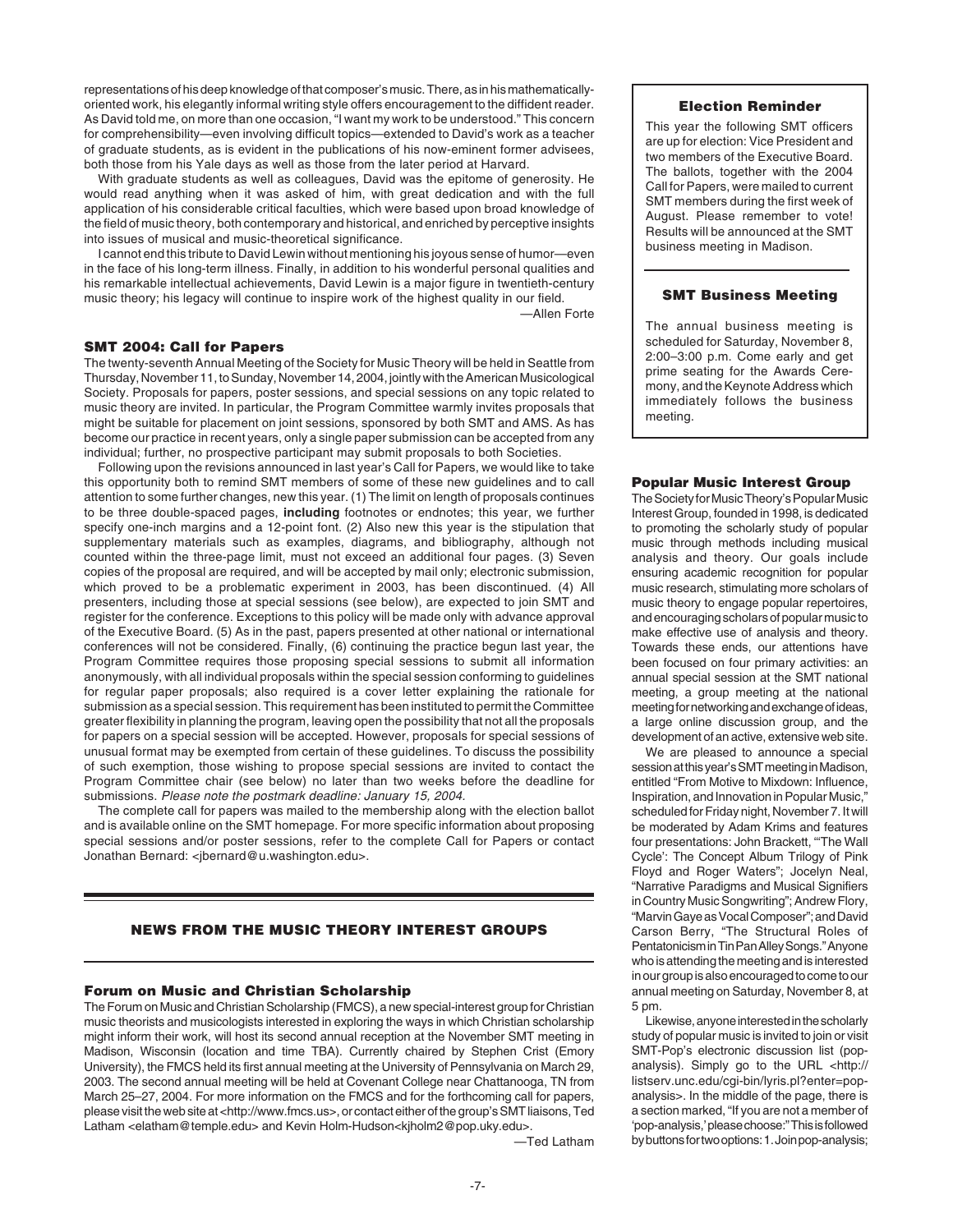representations of his deep knowledge of that composer's music. There, as in his mathematicallyoriented work, his elegantly informal writing style offers encouragement to the diffident reader. As David told me, on more than one occasion, "I want my work to be understood." This concern for comprehensibility—even involving difficult topics—extended to David's work as a teacher of graduate students, as is evident in the publications of his now-eminent former advisees, both those from his Yale days as well as those from the later period at Harvard.

With graduate students as well as colleagues, David was the epitome of generosity. He would read anything when it was asked of him, with great dedication and with the full application of his considerable critical faculties, which were based upon broad knowledge of the field of music theory, both contemporary and historical, and enriched by perceptive insights into issues of musical and music-theoretical significance.

I cannot end this tribute to David Lewin without mentioning his joyous sense of humor—even in the face of his long-term illness. Finally, in addition to his wonderful personal qualities and his remarkable intellectual achievements, David Lewin is a major figure in twentieth-century music theory; his legacy will continue to inspire work of the highest quality in our field. —Allen Forte

#### **SMT 2004: Call for Papers**

The twenty-seventh Annual Meeting of the Society for Music Theory will be held in Seattle from Thursday, November 11, to Sunday, November 14, 2004, jointly with the American Musicological Society. Proposals for papers, poster sessions, and special sessions on any topic related to music theory are invited. In particular, the Program Committee warmly invites proposals that might be suitable for placement on joint sessions, sponsored by both SMT and AMS. As has become our practice in recent years, only a single paper submission can be accepted from any individual; further, no prospective participant may submit proposals to both Societies.

Following upon the revisions announced in last year's Call for Papers, we would like to take this opportunity both to remind SMT members of some of these new guidelines and to call attention to some further changes, new this year. (1) The limit on length of proposals continues to be three double-spaced pages, **including** footnotes or endnotes; this year, we further specify one-inch margins and a 12-point font. (2) Also new this year is the stipulation that supplementary materials such as examples, diagrams, and bibliography, although not counted within the three-page limit, must not exceed an additional four pages. (3) Seven copies of the proposal are required, and will be accepted by mail only; electronic submission, which proved to be a problematic experiment in 2003, has been discontinued. (4) All presenters, including those at special sessions (see below), are expected to join SMT and register for the conference. Exceptions to this policy will be made only with advance approval of the Executive Board. (5) As in the past, papers presented at other national or international conferences will not be considered. Finally, (6) continuing the practice begun last year, the Program Committee requires those proposing special sessions to submit all information anonymously, with all individual proposals within the special session conforming to guidelines for regular paper proposals; also required is a cover letter explaining the rationale for submission as a special session. This requirement has been instituted to permit the Committee greater flexibility in planning the program, leaving open the possibility that not all the proposals for papers on a special session will be accepted. However, proposals for special sessions of unusual format may be exempted from certain of these guidelines. To discuss the possibility of such exemption, those wishing to propose special sessions are invited to contact the Program Committee chair (see below) no later than two weeks before the deadline for submissions. Please note the postmark deadline: January 15, 2004.

The complete call for papers was mailed to the membership along with the election ballot and is available online on the SMT homepage. For more specific information about proposing special sessions and/or poster sessions, refer to the complete Call for Papers or contact Jonathan Bernard: <ibernard@u.washington.edu>.

## **NEWS FROM THE MUSIC THEORY INTEREST GROUPS**

## **Forum on Music and Christian Scholarship**

The Forum on Music and Christian Scholarship (FMCS), a new special-interest group for Christian music theorists and musicologists interested in exploring the ways in which Christian scholarship might inform their work, will host its second annual reception at the November SMT meeting in Madison, Wisconsin (location and time TBA). Currently chaired by Stephen Crist (Emory University), the FMCS held its first annual meeting at the University of Pennsylvania on March 29, 2003. The second annual meeting will be held at Covenant College near Chattanooga, TN from March 25–27, 2004. For more information on the FMCS and for the forthcoming call for papers, please visit the web site at <http://www.fmcs.us>, or contact either of the group's SMT liaisons, Ted Latham <elatham@temple.edu> and Kevin Holm-Hudson<kjholm2@pop.uky.edu>.

—Ted Latham

#### **Election Reminder**

This year the following SMT officers are up for election: Vice President and two members of the Executive Board. The ballots, together with the 2004 Call for Papers, were mailed to current SMT members during the first week of August. Please remember to vote! Results will be announced at the SMT business meeting in Madison.

#### **SMT Business Meeting**

The annual business meeting is scheduled for Saturday, November 8, 2:00–3:00 p.m. Come early and get prime seating for the Awards Ceremony, and the Keynote Address which immediately follows the business meeting.

#### **Popular Music Interest Group**

The Society for Music Theory's Popular Music Interest Group, founded in 1998, is dedicated to promoting the scholarly study of popular music through methods including musical analysis and theory. Our goals include ensuring academic recognition for popular music research, stimulating more scholars of music theory to engage popular repertoires, and encouraging scholars of popular music to make effective use of analysis and theory. Towards these ends, our attentions have been focused on four primary activities: an annual special session at the SMT national meeting, a group meeting at the national meeting for networking and exchange of ideas, a large online discussion group, and the development of an active, extensive web site.

We are pleased to announce a special session at this year's SMT meeting in Madison, entitled "From Motive to Mixdown: Influence, Inspiration, and Innovation in Popular Music," scheduled for Friday night, November 7. It will be moderated by Adam Krims and features four presentations: John Brackett, "'The Wall Cycle': The Concept Album Trilogy of Pink Floyd and Roger Waters"; Jocelyn Neal, "Narrative Paradigms and Musical Signifiers in Country Music Songwriting"; Andrew Flory, "Marvin Gaye as Vocal Composer"; and David Carson Berry, "The Structural Roles of Pentatonicism in Tin Pan Alley Songs." Anyone who is attending the meeting and is interested in our group is also encouraged to come to our annual meeting on Saturday, November 8, at 5 pm.

Likewise, anyone interested in the scholarly study of popular music is invited to join or visit SMT-Pop's electronic discussion list (popanalysis). Simply go to the URL <http:// listserv.unc.edu/cgi-bin/lyris.pl?enter=popanalysis>. In the middle of the page, there is a section marked, "If you are not a member of 'pop-analysis,' please choose:" This is followed by buttons for two options: 1. Join pop-analysis;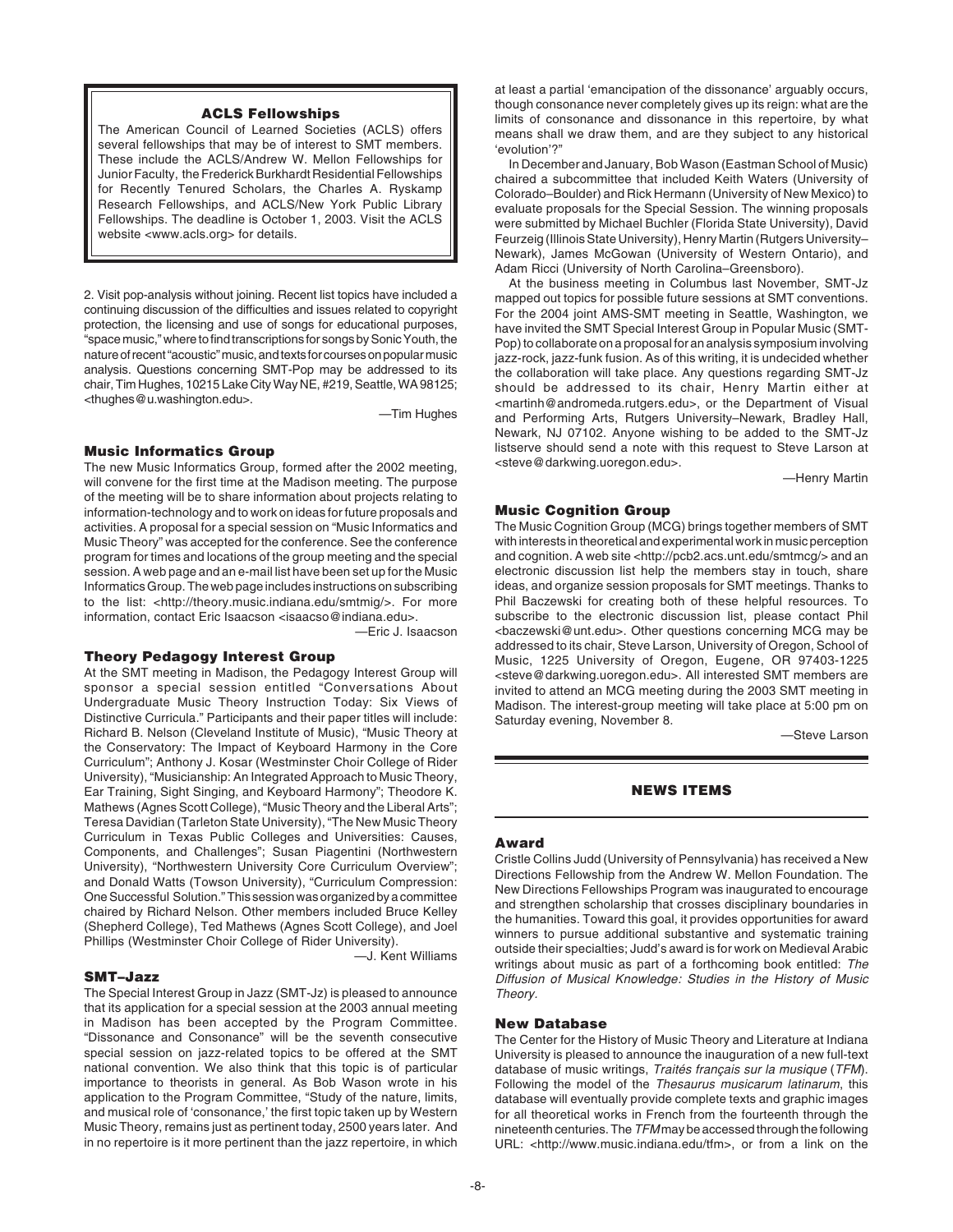## **ACLS Fellowships**

The American Council of Learned Societies (ACLS) offers several fellowships that may be of interest to SMT members. These include the ACLS/Andrew W. Mellon Fellowships for Junior Faculty, the Frederick Burkhardt Residential Fellowships for Recently Tenured Scholars, the Charles A. Ryskamp Research Fellowships, and ACLS/New York Public Library Fellowships. The deadline is October 1, 2003. Visit the ACLS website <www.acls.org> for details.

2. Visit pop-analysis without joining. Recent list topics have included a continuing discussion of the difficulties and issues related to copyright protection, the licensing and use of songs for educational purposes, "space music," where to find transcriptions for songs by Sonic Youth, the nature of recent "acoustic" music, and texts for courses on popular music analysis. Questions concerning SMT-Pop may be addressed to its chair, Tim Hughes, 10215 Lake City Way NE, #219, Seattle, WA 98125; <thughes@u.washington.edu>.

—Tim Hughes

## **Music Informatics Group**

The new Music Informatics Group, formed after the 2002 meeting, will convene for the first time at the Madison meeting. The purpose of the meeting will be to share information about projects relating to information-technology and to work on ideas for future proposals and activities. A proposal for a special session on "Music Informatics and Music Theory" was accepted for the conference. See the conference program for times and locations of the group meeting and the special session. A web page and an e-mail list have been set up for the Music Informatics Group. The web page includes instructions on subscribing to the list: <http://theory.music.indiana.edu/smtmig/>. For more information, contact Eric Isaacson <isaacso@indiana.edu>.

—Eric J. Isaacson

#### **Theory Pedagogy Interest Group**

At the SMT meeting in Madison, the Pedagogy Interest Group will sponsor a special session entitled "Conversations About Undergraduate Music Theory Instruction Today: Six Views of Distinctive Curricula." Participants and their paper titles will include: Richard B. Nelson (Cleveland Institute of Music), "Music Theory at the Conservatory: The Impact of Keyboard Harmony in the Core Curriculum"; Anthony J. Kosar (Westminster Choir College of Rider University), "Musicianship: An Integrated Approach to Music Theory, Ear Training, Sight Singing, and Keyboard Harmony"; Theodore K. Mathews (Agnes Scott College), "Music Theory and the Liberal Arts"; Teresa Davidian (Tarleton State University), "The New Music Theory Curriculum in Texas Public Colleges and Universities: Causes, Components, and Challenges"; Susan Piagentini (Northwestern University), "Northwestern University Core Curriculum Overview"; and Donald Watts (Towson University), "Curriculum Compression: One Successful Solution." This session was organized by a committee chaired by Richard Nelson. Other members included Bruce Kelley (Shepherd College), Ted Mathews (Agnes Scott College), and Joel Phillips (Westminster Choir College of Rider University).

#### **SMT–Jazz**

—J. Kent Williams

The Special Interest Group in Jazz (SMT-Jz) is pleased to announce that its application for a special session at the 2003 annual meeting in Madison has been accepted by the Program Committee. "Dissonance and Consonance" will be the seventh consecutive special session on jazz-related topics to be offered at the SMT national convention. We also think that this topic is of particular importance to theorists in general. As Bob Wason wrote in his application to the Program Committee, "Study of the nature, limits, and musical role of 'consonance,' the first topic taken up by Western Music Theory, remains just as pertinent today, 2500 years later. And in no repertoire is it more pertinent than the jazz repertoire, in which

at least a partial 'emancipation of the dissonance' arguably occurs, though consonance never completely gives up its reign: what are the limits of consonance and dissonance in this repertoire, by what means shall we draw them, and are they subject to any historical 'evolution'?"

In December and January, Bob Wason (Eastman School of Music) chaired a subcommittee that included Keith Waters (University of Colorado–Boulder) and Rick Hermann (University of New Mexico) to evaluate proposals for the Special Session. The winning proposals were submitted by Michael Buchler (Florida State University), David Feurzeig (Illinois State University), Henry Martin (Rutgers University– Newark), James McGowan (University of Western Ontario), and Adam Ricci (University of North Carolina–Greensboro).

At the business meeting in Columbus last November, SMT-Jz mapped out topics for possible future sessions at SMT conventions. For the 2004 joint AMS-SMT meeting in Seattle, Washington, we have invited the SMT Special Interest Group in Popular Music (SMT-Pop) to collaborate on a proposal for an analysis symposium involving jazz-rock, jazz-funk fusion. As of this writing, it is undecided whether the collaboration will take place. Any questions regarding SMT-Jz should be addressed to its chair, Henry Martin either at <martinh@andromeda.rutgers.edu>, or the Department of Visual and Performing Arts, Rutgers University–Newark, Bradley Hall, Newark, NJ 07102. Anyone wishing to be added to the SMT-Jz listserve should send a note with this request to Steve Larson at <steve@darkwing.uoregon.edu>.

—Henry Martin

## **Music Cognition Group**

The Music Cognition Group (MCG) brings together members of SMT with interests in theoretical and experimental work in music perception and cognition. A web site <http://pcb2.acs.unt.edu/smtmcg/> and an electronic discussion list help the members stay in touch, share ideas, and organize session proposals for SMT meetings. Thanks to Phil Baczewski for creating both of these helpful resources. To subscribe to the electronic discussion list, please contact Phil <baczewski@unt.edu>. Other questions concerning MCG may be addressed to its chair, Steve Larson, University of Oregon, School of Music, 1225 University of Oregon, Eugene, OR 97403-1225 <steve@darkwing.uoregon.edu>. All interested SMT members are invited to attend an MCG meeting during the 2003 SMT meeting in Madison. The interest-group meeting will take place at 5:00 pm on Saturday evening, November 8.

—Steve Larson

## **NEWS ITEMS**

#### **Award**

Cristle Collins Judd (University of Pennsylvania) has received a New Directions Fellowship from the Andrew W. Mellon Foundation. The New Directions Fellowships Program was inaugurated to encourage and strengthen scholarship that crosses disciplinary boundaries in the humanities. Toward this goal, it provides opportunities for award winners to pursue additional substantive and systematic training outside their specialties; Judd's award is for work on Medieval Arabic writings about music as part of a forthcoming book entitled: The Diffusion of Musical Knowledge: Studies in the History of Music Theory.

## **New Database**

The Center for the History of Music Theory and Literature at Indiana University is pleased to announce the inauguration of a new full-text database of music writings, Traités français sur la musique (TFM). Following the model of the Thesaurus musicarum latinarum, this database will eventually provide complete texts and graphic images for all theoretical works in French from the fourteenth through the nineteenth centuries. The TFMmay be accessed through the following URL: <http://www.music.indiana.edu/tfm>, or from a link on the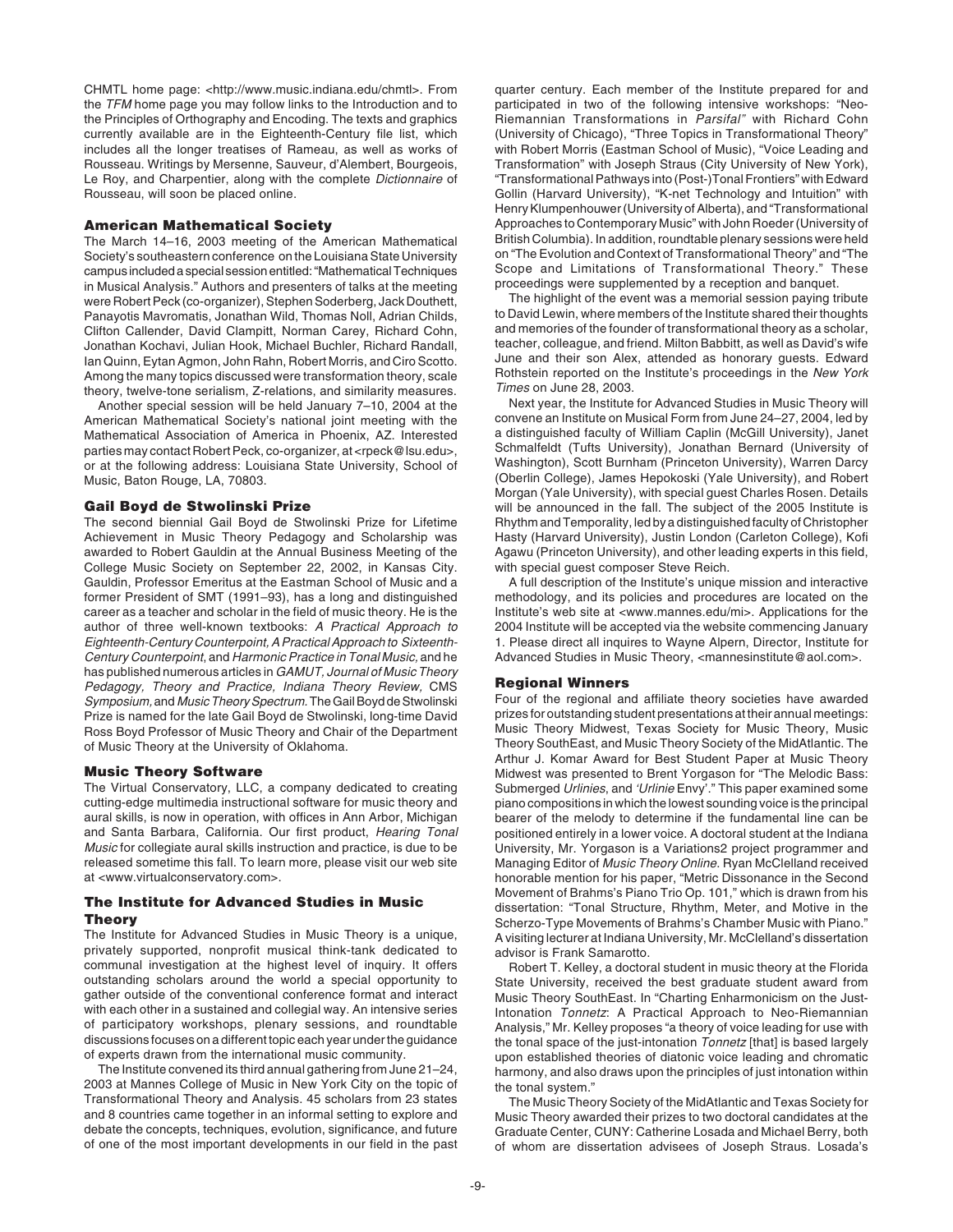CHMTL home page: <http://www.music.indiana.edu/chmtl>. From the TFM home page you may follow links to the Introduction and to the Principles of Orthography and Encoding. The texts and graphics currently available are in the Eighteenth-Century file list, which includes all the longer treatises of Rameau, as well as works of Rousseau. Writings by Mersenne, Sauveur, d'Alembert, Bourgeois, Le Roy, and Charpentier, along with the complete Dictionnaire of Rousseau, will soon be placed online.

#### **American Mathematical Society**

The March 14–16, 2003 meeting of the American Mathematical Society's southeastern conference on the Louisiana State University campus included a special session entitled: "Mathematical Techniques in Musical Analysis." Authors and presenters of talks at the meeting were Robert Peck (co-organizer), Stephen Soderberg, Jack Douthett, Panayotis Mavromatis, Jonathan Wild, Thomas Noll, Adrian Childs, Clifton Callender, David Clampitt, Norman Carey, Richard Cohn, Jonathan Kochavi, Julian Hook, Michael Buchler, Richard Randall, Ian Quinn, Eytan Agmon, John Rahn, Robert Morris, and Ciro Scotto. Among the many topics discussed were transformation theory, scale theory, twelve-tone serialism, Z-relations, and similarity measures.

Another special session will be held January 7–10, 2004 at the American Mathematical Society's national joint meeting with the Mathematical Association of America in Phoenix, AZ. Interested parties may contact Robert Peck, co-organizer, at <rpeck@lsu.edu>, or at the following address: Louisiana State University, School of Music, Baton Rouge, LA, 70803.

## **Gail Boyd de Stwolinski Prize**

The second biennial Gail Boyd de Stwolinski Prize for Lifetime Achievement in Music Theory Pedagogy and Scholarship was awarded to Robert Gauldin at the Annual Business Meeting of the College Music Society on September 22, 2002, in Kansas City. Gauldin, Professor Emeritus at the Eastman School of Music and a former President of SMT (1991–93), has a long and distinguished career as a teacher and scholar in the field of music theory. He is the author of three well-known textbooks: A Practical Approach to Eighteenth-Century Counterpoint, A Practical Approach to Sixteenth-Century Counterpoint, and Harmonic Practice in Tonal Music, and he has published numerous articles in GAMUT, Journal of Music Theory Pedagogy, Theory and Practice, Indiana Theory Review, CMS Symposium, and Music Theory Spectrum. The Gail Boyd de Stwolinski Prize is named for the late Gail Boyd de Stwolinski, long-time David Ross Boyd Professor of Music Theory and Chair of the Department of Music Theory at the University of Oklahoma.

#### **Music Theory Software**

The Virtual Conservatory, LLC, a company dedicated to creating cutting-edge multimedia instructional software for music theory and aural skills, is now in operation, with offices in Ann Arbor, Michigan and Santa Barbara, California. Our first product, Hearing Tonal Music for collegiate aural skills instruction and practice, is due to be released sometime this fall. To learn more, please visit our web site at <www.virtualconservatory.com>.

## **The Institute for Advanced Studies in Music Theory**

The Institute for Advanced Studies in Music Theory is a unique, privately supported, nonprofit musical think-tank dedicated to communal investigation at the highest level of inquiry. It offers outstanding scholars around the world a special opportunity to gather outside of the conventional conference format and interact with each other in a sustained and collegial way. An intensive series of participatory workshops, plenary sessions, and roundtable discussions focuses on a different topic each year under the guidance of experts drawn from the international music community.

The Institute convened its third annual gathering from June 21–24, 2003 at Mannes College of Music in New York City on the topic of Transformational Theory and Analysis. 45 scholars from 23 states and 8 countries came together in an informal setting to explore and debate the concepts, techniques, evolution, significance, and future of one of the most important developments in our field in the past

quarter century. Each member of the Institute prepared for and participated in two of the following intensive workshops: "Neo-Riemannian Transformations in Parsifal" with Richard Cohn (University of Chicago), "Three Topics in Transformational Theory" with Robert Morris (Eastman School of Music), "Voice Leading and Transformation" with Joseph Straus (City University of New York), "Transformational Pathways into (Post-)Tonal Frontiers" with Edward Gollin (Harvard University), "K-net Technology and Intuition" with Henry Klumpenhouwer (University of Alberta), and "Transformational Approaches to Contemporary Music" with John Roeder (University of British Columbia). In addition, roundtable plenary sessions were held on "The Evolution and Context of Transformational Theory" and "The Scope and Limitations of Transformational Theory." These proceedings were supplemented by a reception and banquet.

The highlight of the event was a memorial session paying tribute to David Lewin, where members of the Institute shared their thoughts and memories of the founder of transformational theory as a scholar, teacher, colleague, and friend. Milton Babbitt, as well as David's wife June and their son Alex, attended as honorary guests. Edward Rothstein reported on the Institute's proceedings in the New York Times on June 28, 2003.

Next year, the Institute for Advanced Studies in Music Theory will convene an Institute on Musical Form from June 24–27, 2004, led by a distinguished faculty of William Caplin (McGill University), Janet Schmalfeldt (Tufts University), Jonathan Bernard (University of Washington), Scott Burnham (Princeton University), Warren Darcy (Oberlin College), James Hepokoski (Yale University), and Robert Morgan (Yale University), with special guest Charles Rosen. Details will be announced in the fall. The subject of the 2005 Institute is Rhythm and Temporality, led by a distinguished faculty of Christopher Hasty (Harvard University), Justin London (Carleton College), Kofi Agawu (Princeton University), and other leading experts in this field, with special guest composer Steve Reich.

A full description of the Institute's unique mission and interactive methodology, and its policies and procedures are located on the Institute's web site at <www.mannes.edu/mi>. Applications for the 2004 Institute will be accepted via the website commencing January 1. Please direct all inquires to Wayne Alpern, Director, Institute for Advanced Studies in Music Theory, <mannesinstitute@aol.com>.

#### **Regional Winners**

Four of the regional and affiliate theory societies have awarded prizes for outstanding student presentations at their annual meetings: Music Theory Midwest, Texas Society for Music Theory, Music Theory SouthEast, and Music Theory Society of the MidAtlantic. The Arthur J. Komar Award for Best Student Paper at Music Theory Midwest was presented to Brent Yorgason for "The Melodic Bass: Submerged Urlinies, and 'Urlinie Envy'." This paper examined some piano compositions in which the lowest sounding voice is the principal bearer of the melody to determine if the fundamental line can be positioned entirely in a lower voice. A doctoral student at the Indiana University, Mr. Yorgason is a Variations2 project programmer and Managing Editor of Music Theory Online. Ryan McClelland received honorable mention for his paper, "Metric Dissonance in the Second Movement of Brahms's Piano Trio Op. 101," which is drawn from his dissertation: "Tonal Structure, Rhythm, Meter, and Motive in the Scherzo-Type Movements of Brahms's Chamber Music with Piano." A visiting lecturer at Indiana University, Mr. McClelland's dissertation advisor is Frank Samarotto.

Robert T. Kelley, a doctoral student in music theory at the Florida State University, received the best graduate student award from Music Theory SouthEast. In "Charting Enharmonicism on the Just-Intonation Tonnetz: A Practical Approach to Neo-Riemannian Analysis," Mr. Kelley proposes "a theory of voice leading for use with the tonal space of the just-intonation Tonnetz [that] is based largely upon established theories of diatonic voice leading and chromatic harmony, and also draws upon the principles of just intonation within the tonal system."

The Music Theory Society of the MidAtlantic and Texas Society for Music Theory awarded their prizes to two doctoral candidates at the Graduate Center, CUNY: Catherine Losada and Michael Berry, both of whom are dissertation advisees of Joseph Straus. Losada's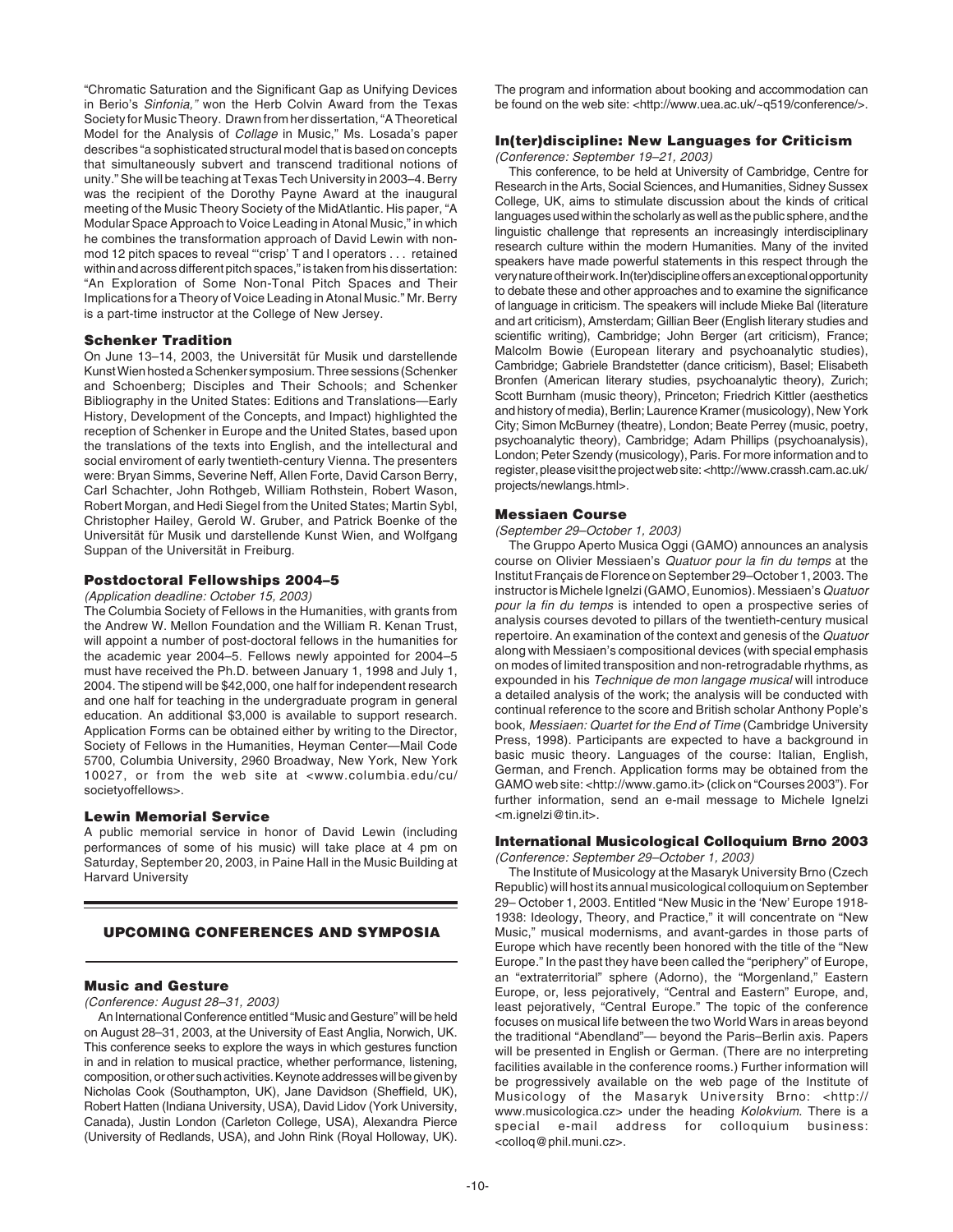"Chromatic Saturation and the Significant Gap as Unifying Devices in Berio's Sinfonia," won the Herb Colvin Award from the Texas Society for Music Theory. Drawn from her dissertation, "A Theoretical Model for the Analysis of Collage in Music," Ms. Losada's paper describes "a sophisticated structural model that is based on concepts that simultaneously subvert and transcend traditional notions of unity." She will be teaching at Texas Tech University in 2003–4. Berry was the recipient of the Dorothy Payne Award at the inaugural meeting of the Music Theory Society of the MidAtlantic. His paper, "A Modular Space Approach to Voice Leading in Atonal Music," in which he combines the transformation approach of David Lewin with nonmod 12 pitch spaces to reveal "'crisp' T and I operators . . . retained within and across different pitch spaces," is taken from his dissertation: "An Exploration of Some Non-Tonal Pitch Spaces and Their Implications for a Theory of Voice Leading in Atonal Music." Mr. Berry is a part-time instructor at the College of New Jersey.

#### **Schenker Tradition**

On June 13–14, 2003, the Universität für Musik und darstellende Kunst Wien hosted a Schenker symposium. Three sessions (Schenker and Schoenberg; Disciples and Their Schools; and Schenker Bibliography in the United States: Editions and Translations—Early History, Development of the Concepts, and Impact) highlighted the reception of Schenker in Europe and the United States, based upon the translations of the texts into English, and the intellectural and social enviroment of early twentieth-century Vienna. The presenters were: Bryan Simms, Severine Neff, Allen Forte, David Carson Berry, Carl Schachter, John Rothgeb, William Rothstein, Robert Wason, Robert Morgan, and Hedi Siegel from the United States; Martin Sybl, Christopher Hailey, Gerold W. Gruber, and Patrick Boenke of the Universität für Musik und darstellende Kunst Wien, and Wolfgang Suppan of the Universität in Freiburg.

## **Postdoctoral Fellowships 2004–5**

(Application deadline: October 15, 2003)

The Columbia Society of Fellows in the Humanities, with grants from the Andrew W. Mellon Foundation and the William R. Kenan Trust, will appoint a number of post-doctoral fellows in the humanities for the academic year 2004–5. Fellows newly appointed for 2004–5 must have received the Ph.D. between January 1, 1998 and July 1, 2004. The stipend will be \$42,000, one half for independent research and one half for teaching in the undergraduate program in general education. An additional \$3,000 is available to support research. Application Forms can be obtained either by writing to the Director, Society of Fellows in the Humanities, Heyman Center—Mail Code 5700, Columbia University, 2960 Broadway, New York, New York 10027, or from the web site at <www.columbia.edu/cu/ societyoffellows>.

#### **Lewin Memorial Service**

A public memorial service in honor of David Lewin (including performances of some of his music) will take place at 4 pm on Saturday, September 20, 2003, in Paine Hall in the Music Building at Harvard University

# **UPCOMING CONFERENCES AND SYMPOSIA**

# **Music and Gesture**

(Conference: August 28–31, 2003)

An International Conference entitled "Music and Gesture" will be held on August 28–31, 2003, at the University of East Anglia, Norwich, UK. This conference seeks to explore the ways in which gestures function in and in relation to musical practice, whether performance, listening, composition, or other such activities. Keynote addresses will be given by Nicholas Cook (Southampton, UK), Jane Davidson (Sheffield, UK), Robert Hatten (Indiana University, USA), David Lidov (York University, Canada), Justin London (Carleton College, USA), Alexandra Pierce (University of Redlands, USA), and John Rink (Royal Holloway, UK).

The program and information about booking and accommodation can be found on the web site: <http://www.uea.ac.uk/~q519/conference/>.

## **In(ter)discipline: New Languages for Criticism**

(Conference: September 19–21, 2003)

This conference, to be held at University of Cambridge, Centre for Research in the Arts, Social Sciences, and Humanities, Sidney Sussex College, UK, aims to stimulate discussion about the kinds of critical languages used within the scholarly as well as the public sphere, and the linguistic challenge that represents an increasingly interdisciplinary research culture within the modern Humanities. Many of the invited speakers have made powerful statements in this respect through the very nature of their work. In(ter)discipline offers an exceptional opportunity to debate these and other approaches and to examine the significance of language in criticism. The speakers will include Mieke Bal (literature and art criticism), Amsterdam; Gillian Beer (English literary studies and scientific writing), Cambridge; John Berger (art criticism), France; Malcolm Bowie (European literary and psychoanalytic studies), Cambridge; Gabriele Brandstetter (dance criticism), Basel; Elisabeth Bronfen (American literary studies, psychoanalytic theory), Zurich; Scott Burnham (music theory), Princeton; Friedrich Kittler (aesthetics and history of media), Berlin; Laurence Kramer (musicology), New York City; Simon McBurney (theatre), London; Beate Perrey (music, poetry, psychoanalytic theory), Cambridge; Adam Phillips (psychoanalysis), London; Peter Szendy (musicology), Paris. For more information and to register, please visit the project web site: <http://www.crassh.cam.ac.uk/ projects/newlangs.html>.

#### **Messiaen Course**

(September 29–October 1, 2003)

The Gruppo Aperto Musica Oggi (GAMO) announces an analysis course on Olivier Messiaen's Quatuor pour la fin du temps at the Institut Français de Florence on September 29–October 1, 2003. The instructor is Michele Ignelzi (GAMO, Eunomios). Messiaen's Quatuor pour la fin du temps is intended to open a prospective series of analysis courses devoted to pillars of the twentieth-century musical repertoire. An examination of the context and genesis of the Quatuor along with Messiaen's compositional devices (with special emphasis on modes of limited transposition and non-retrogradable rhythms, as expounded in his Technique de mon langage musical will introduce a detailed analysis of the work; the analysis will be conducted with continual reference to the score and British scholar Anthony Pople's book, Messiaen: Quartet for the End of Time (Cambridge University Press, 1998). Participants are expected to have a background in basic music theory. Languages of the course: Italian, English, German, and French. Application forms may be obtained from the GAMO web site: <http://www.gamo.it> (click on "Courses 2003"). For further information, send an e-mail message to Michele Ignelzi <m.ignelzi@tin.it>.

#### **International Musicological Colloquium Brno 2003** (Conference: September 29–October 1, 2003)

The Institute of Musicology at the Masaryk University Brno (Czech Republic) will host its annual musicological colloquium on September 29– October 1, 2003. Entitled "New Music in the 'New' Europe 1918- 1938: Ideology, Theory, and Practice," it will concentrate on "New Music," musical modernisms, and avant-gardes in those parts of Europe which have recently been honored with the title of the "New Europe." In the past they have been called the "periphery" of Europe, an "extraterritorial" sphere (Adorno), the "Morgenland," Eastern Europe, or, less pejoratively, "Central and Eastern" Europe, and, least pejoratively, "Central Europe." The topic of the conference focuses on musical life between the two World Wars in areas beyond the traditional "Abendland"— beyond the Paris–Berlin axis. Papers will be presented in English or German. (There are no interpreting facilities available in the conference rooms.) Further information will be progressively available on the web page of the Institute of Musicology of the Masaryk University Brno: <http:// www.musicologica.cz> under the heading Kolokvium. There is a special e-mail address for colloquium business: <colloq@phil.muni.cz>.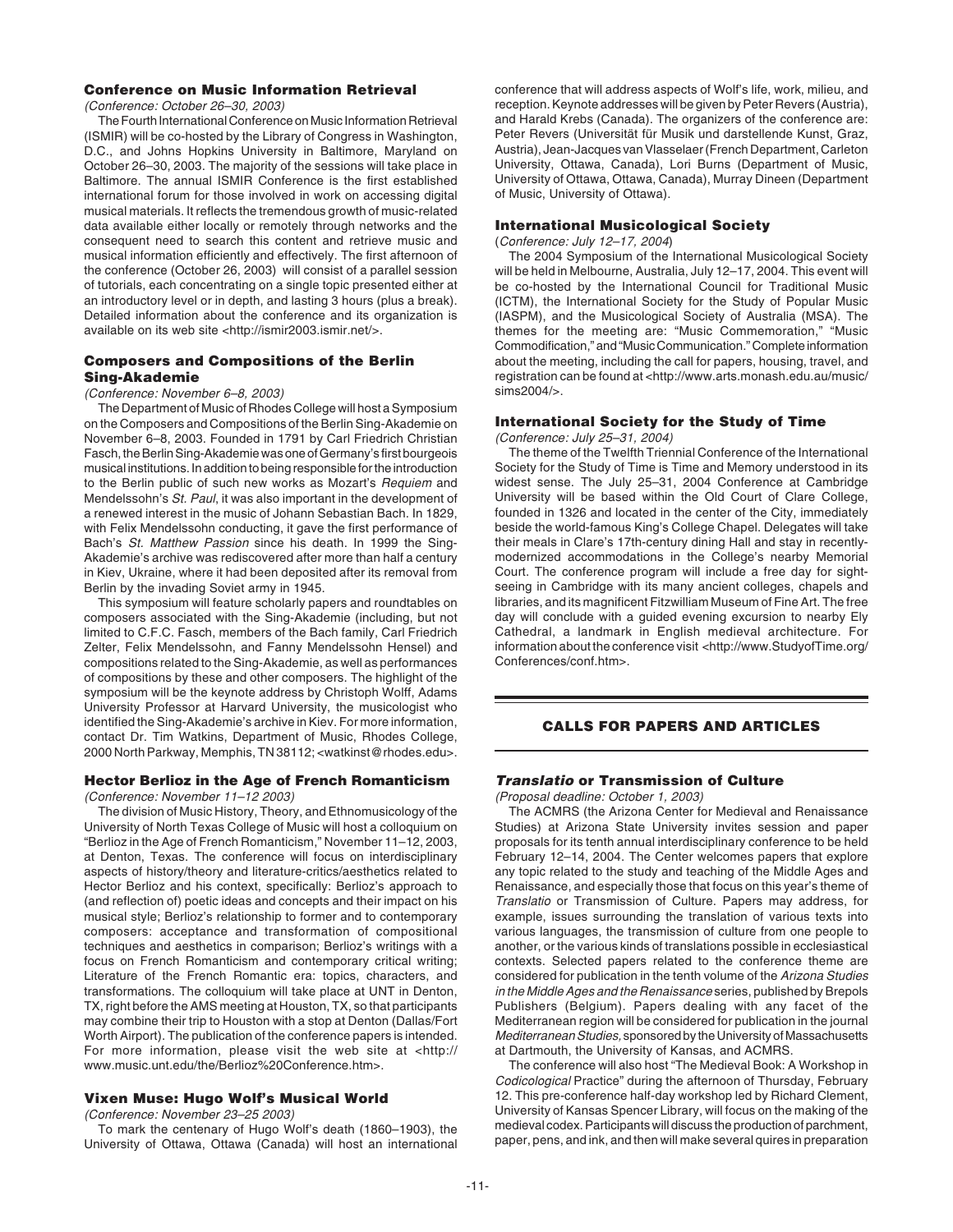## **Conference on Music Information Retrieval**

(Conference: October 26–30, 2003)

The Fourth International Conference on Music Information Retrieval (ISMIR) will be co-hosted by the Library of Congress in Washington, D.C., and Johns Hopkins University in Baltimore, Maryland on October 26–30, 2003. The majority of the sessions will take place in Baltimore. The annual ISMIR Conference is the first established international forum for those involved in work on accessing digital musical materials. It reflects the tremendous growth of music-related data available either locally or remotely through networks and the consequent need to search this content and retrieve music and musical information efficiently and effectively. The first afternoon of the conference (October 26, 2003) will consist of a parallel session of tutorials, each concentrating on a single topic presented either at an introductory level or in depth, and lasting 3 hours (plus a break). Detailed information about the conference and its organization is available on its web site <http://ismir2003.ismir.net/>.

## **Composers and Compositions of the Berlin Sing-Akademie**

#### (Conference: November 6–8, 2003)

The Department of Music of Rhodes College will host a Symposium on the Composers and Compositions of the Berlin Sing-Akademie on November 6–8, 2003. Founded in 1791 by Carl Friedrich Christian Fasch, the Berlin Sing-Akademie was one of Germany's first bourgeois musical institutions. In addition to being responsible for the introduction to the Berlin public of such new works as Mozart's Requiem and Mendelssohn's St. Paul, it was also important in the development of a renewed interest in the music of Johann Sebastian Bach. In 1829, with Felix Mendelssohn conducting, it gave the first performance of Bach's St. Matthew Passion since his death. In 1999 the Sing-Akademie's archive was rediscovered after more than half a century in Kiev, Ukraine, where it had been deposited after its removal from Berlin by the invading Soviet army in 1945.

This symposium will feature scholarly papers and roundtables on composers associated with the Sing-Akademie (including, but not limited to C.F.C. Fasch, members of the Bach family, Carl Friedrich Zelter, Felix Mendelssohn, and Fanny Mendelssohn Hensel) and compositions related to the Sing-Akademie, as well as performances of compositions by these and other composers. The highlight of the symposium will be the keynote address by Christoph Wolff, Adams University Professor at Harvard University, the musicologist who identified the Sing-Akademie's archive in Kiev. For more information, contact Dr. Tim Watkins, Department of Music, Rhodes College, 2000 North Parkway, Memphis, TN 38112; <watkinst@rhodes.edu>.

## **Hector Berlioz in the Age of French Romanticism**

(Conference: November 11–12 2003)

The division of Music History, Theory, and Ethnomusicology of the University of North Texas College of Music will host a colloquium on "Berlioz in the Age of French Romanticism," November 11–12, 2003, at Denton, Texas. The conference will focus on interdisciplinary aspects of history/theory and literature-critics/aesthetics related to Hector Berlioz and his context, specifically: Berlioz's approach to (and reflection of) poetic ideas and concepts and their impact on his musical style; Berlioz's relationship to former and to contemporary composers: acceptance and transformation of compositional techniques and aesthetics in comparison; Berlioz's writings with a focus on French Romanticism and contemporary critical writing; Literature of the French Romantic era: topics, characters, and transformations. The colloquium will take place at UNT in Denton, TX, right before the AMS meeting at Houston, TX, so that participants may combine their trip to Houston with a stop at Denton (Dallas/Fort Worth Airport). The publication of the conference papers is intended. For more information, please visit the web site at <http:// www.music.unt.edu/the/Berlioz%20Conference.htm>.

## **Vixen Muse: Hugo Wolf's Musical World**

(Conference: November 23–25 2003)

To mark the centenary of Hugo Wolf's death (1860–1903), the University of Ottawa, Ottawa (Canada) will host an international

conference that will address aspects of Wolf's life, work, milieu, and reception. Keynote addresses will be given by Peter Revers (Austria), and Harald Krebs (Canada). The organizers of the conference are: Peter Revers (Universität für Musik und darstellende Kunst, Graz, Austria), Jean-Jacques van Vlasselaer (French Department, Carleton University, Ottawa, Canada), Lori Burns (Department of Music, University of Ottawa, Ottawa, Canada), Murray Dineen (Department of Music, University of Ottawa).

#### **International Musicological Society**

(Conference: July 12–17, 2004)

The 2004 Symposium of the International Musicological Society will be held in Melbourne, Australia, July 12–17, 2004. This event will be co-hosted by the International Council for Traditional Music (ICTM), the International Society for the Study of Popular Music (IASPM), and the Musicological Society of Australia (MSA). The themes for the meeting are: "Music Commemoration," "Music Commodification," and "Music Communication." Complete information about the meeting, including the call for papers, housing, travel, and registration can be found at <http://www.arts.monash.edu.au/music/ sims2004/>.

#### **International Society for the Study of Time**

(Conference: July 25–31, 2004)

The theme of the Twelfth Triennial Conference of the International Society for the Study of Time is Time and Memory understood in its widest sense. The July 25–31, 2004 Conference at Cambridge University will be based within the Old Court of Clare College, founded in 1326 and located in the center of the City, immediately beside the world-famous King's College Chapel. Delegates will take their meals in Clare's 17th-century dining Hall and stay in recentlymodernized accommodations in the College's nearby Memorial Court. The conference program will include a free day for sightseeing in Cambridge with its many ancient colleges, chapels and libraries, and its magnificent Fitzwilliam Museum of Fine Art. The free day will conclude with a guided evening excursion to nearby Ely Cathedral, a landmark in English medieval architecture. For information about the conference visit <http://www.StudyofTime.org/ Conferences/conf.htm>.

## **CALLS FOR PAPERS AND ARTICLES**

#### **Translatio or Transmission of Culture**

(Proposal deadline: October 1, 2003)

The ACMRS (the Arizona Center for Medieval and Renaissance Studies) at Arizona State University invites session and paper proposals for its tenth annual interdisciplinary conference to be held February 12–14, 2004. The Center welcomes papers that explore any topic related to the study and teaching of the Middle Ages and Renaissance, and especially those that focus on this year's theme of Translatio or Transmission of Culture. Papers may address, for example, issues surrounding the translation of various texts into various languages, the transmission of culture from one people to another, or the various kinds of translations possible in ecclesiastical contexts. Selected papers related to the conference theme are considered for publication in the tenth volume of the Arizona Studies in the Middle Ages and the Renaissance series, published by Brepols Publishers (Belgium). Papers dealing with any facet of the Mediterranean region will be considered for publication in the journal Mediterranean Studies, sponsored by the University of Massachusetts at Dartmouth, the University of Kansas, and ACMRS.

The conference will also host "The Medieval Book: A Workshop in Codicological Practice" during the afternoon of Thursday, February 12. This pre-conference half-day workshop led by Richard Clement, University of Kansas Spencer Library, will focus on the making of the medieval codex. Participants will discuss the production of parchment, paper, pens, and ink, and then will make several quires in preparation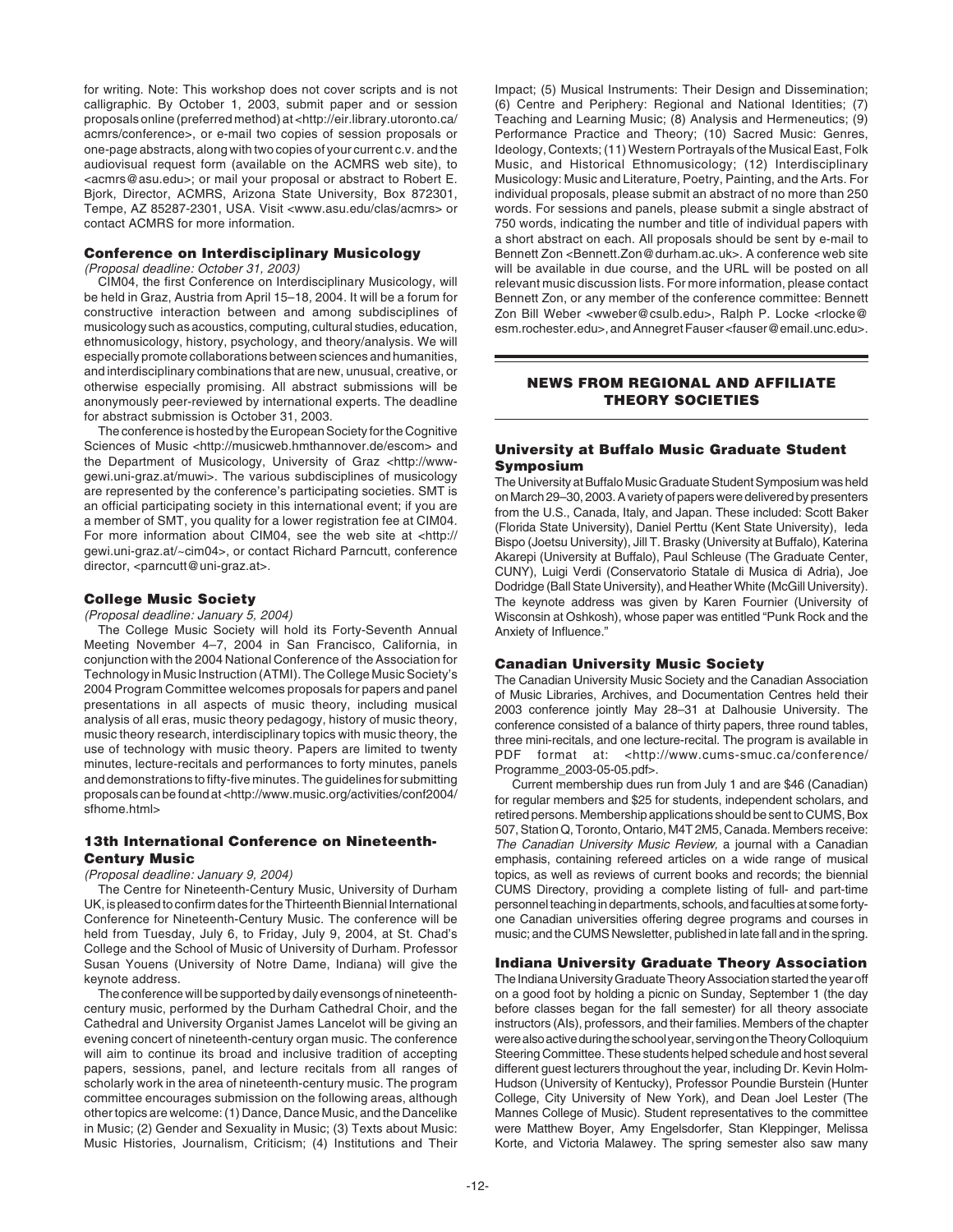for writing. Note: This workshop does not cover scripts and is not calligraphic. By October 1, 2003, submit paper and or session proposals online (preferred method) at <http://eir.library.utoronto.ca/ acmrs/conference>, or e-mail two copies of session proposals or one-page abstracts, along with two copies of your current c.v. and the audiovisual request form (available on the ACMRS web site), to <acmrs@asu.edu>; or mail your proposal or abstract to Robert E. Bjork, Director, ACMRS, Arizona State University, Box 872301, Tempe, AZ 85287-2301, USA. Visit <www.asu.edu/clas/acmrs> or contact ACMRS for more information.

## **Conference on Interdisciplinary Musicology**

(Proposal deadline: October 31, 2003)

CIM04, the first Conference on Interdisciplinary Musicology, will be held in Graz, Austria from April 15–18, 2004. It will be a forum for constructive interaction between and among subdisciplines of musicology such as acoustics, computing, cultural studies, education, ethnomusicology, history, psychology, and theory/analysis. We will especially promote collaborations between sciences and humanities, and interdisciplinary combinations that are new, unusual, creative, or otherwise especially promising. All abstract submissions will be anonymously peer-reviewed by international experts. The deadline for abstract submission is October 31, 2003.

The conference is hosted by the European Society for the Cognitive Sciences of Music <http://musicweb.hmthannover.de/escom> and the Department of Musicology, University of Graz <http://wwwgewi.uni-graz.at/muwi>. The various subdisciplines of musicology are represented by the conference's participating societies. SMT is an official participating society in this international event; if you are a member of SMT, you quality for a lower registration fee at CIM04. For more information about CIM04, see the web site at <http:// gewi.uni-graz.at/~cim04>, or contact Richard Parncutt, conference director, <parncutt@uni-graz.at>.

#### **College Music Society**

(Proposal deadline: January 5, 2004)

The College Music Society will hold its Forty-Seventh Annual Meeting November 4–7, 2004 in San Francisco, California, in conjunction with the 2004 National Conference of the Association for Technology in Music Instruction (ATMI). The College Music Society's 2004 Program Committee welcomes proposals for papers and panel presentations in all aspects of music theory, including musical analysis of all eras, music theory pedagogy, history of music theory, music theory research, interdisciplinary topics with music theory, the use of technology with music theory. Papers are limited to twenty minutes, lecture-recitals and performances to forty minutes, panels and demonstrations to fifty-five minutes. The guidelines for submitting proposals can be found at <http://www.music.org/activities/conf2004/ sfhome.html>

## **13th International Conference on Nineteenth-Century Music**

#### (Proposal deadline: January 9, 2004)

The Centre for Nineteenth-Century Music, University of Durham UK, is pleased to confirm dates for the Thirteenth Biennial International Conference for Nineteenth-Century Music. The conference will be held from Tuesday, July 6, to Friday, July 9, 2004, at St. Chad's College and the School of Music of University of Durham. Professor Susan Youens (University of Notre Dame, Indiana) will give the keynote address.

The conference will be supported by daily evensongs of nineteenthcentury music, performed by the Durham Cathedral Choir, and the Cathedral and University Organist James Lancelot will be giving an evening concert of nineteenth-century organ music. The conference will aim to continue its broad and inclusive tradition of accepting papers, sessions, panel, and lecture recitals from all ranges of scholarly work in the area of nineteenth-century music. The program committee encourages submission on the following areas, although other topics are welcome: (1) Dance, Dance Music, and the Dancelike in Music; (2) Gender and Sexuality in Music; (3) Texts about Music: Music Histories, Journalism, Criticism; (4) Institutions and Their

Impact; (5) Musical Instruments: Their Design and Dissemination; (6) Centre and Periphery: Regional and National Identities; (7) Teaching and Learning Music; (8) Analysis and Hermeneutics; (9) Performance Practice and Theory; (10) Sacred Music: Genres, Ideology, Contexts; (11) Western Portrayals of the Musical East, Folk Music, and Historical Ethnomusicology; (12) Interdisciplinary Musicology: Music and Literature, Poetry, Painting, and the Arts. For individual proposals, please submit an abstract of no more than 250 words. For sessions and panels, please submit a single abstract of 750 words, indicating the number and title of individual papers with a short abstract on each. All proposals should be sent by e-mail to Bennett Zon <Bennett.Zon@durham.ac.uk>. A conference web site will be available in due course, and the URL will be posted on all relevant music discussion lists. For more information, please contact Bennett Zon, or any member of the conference committee: Bennett Zon Bill Weber <wweber@csulb.edu>, Ralph P. Locke <rlocke@ esm.rochester.edu>, and Annegret Fauser <fauser@email.unc.edu>.

## **NEWS FROM REGIONAL AND AFFILIATE THEORY SOCIETIES**

# **University at Buffalo Music Graduate Student Symposium**

The University at Buffalo Music Graduate Student Symposium was held on March 29–30, 2003. A variety of papers were delivered by presenters from the U.S., Canada, Italy, and Japan. These included: Scott Baker (Florida State University), Daniel Perttu (Kent State University), Ieda Bispo (Joetsu University), Jill T. Brasky (University at Buffalo), Katerina Akarepi (University at Buffalo), Paul Schleuse (The Graduate Center, CUNY), Luigi Verdi (Conservatorio Statale di Musica di Adria), Joe Dodridge (Ball State University), and Heather White (McGill University). The keynote address was given by Karen Fournier (University of Wisconsin at Oshkosh), whose paper was entitled "Punk Rock and the Anxiety of Influence."

## **Canadian University Music Society**

The Canadian University Music Society and the Canadian Association of Music Libraries, Archives, and Documentation Centres held their 2003 conference jointly May 28–31 at Dalhousie University. The conference consisted of a balance of thirty papers, three round tables, three mini-recitals, and one lecture-recital. The program is available in PDF format at: <http://www.cums-smuc.ca/conference/ Programme\_2003-05-05.pdf>.

Current membership dues run from July 1 and are \$46 (Canadian) for regular members and \$25 for students, independent scholars, and retired persons. Membership applications should be sent to CUMS, Box 507, Station Q, Toronto, Ontario, M4T 2M5, Canada. Members receive: The Canadian University Music Review, a journal with a Canadian emphasis, containing refereed articles on a wide range of musical topics, as well as reviews of current books and records; the biennial CUMS Directory, providing a complete listing of full- and part-time personnel teaching in departments, schools, and faculties at some fortyone Canadian universities offering degree programs and courses in music; and the CUMS Newsletter, published in late fall and in the spring.

## **Indiana University Graduate Theory Association**

The Indiana University Graduate Theory Association started the year off on a good foot by holding a picnic on Sunday, September 1 (the day before classes began for the fall semester) for all theory associate instructors (AIs), professors, and their families. Members of the chapter were also active during the school year, serving on the Theory Colloquium Steering Committee. These students helped schedule and host several different guest lecturers throughout the year, including Dr. Kevin Holm-Hudson (University of Kentucky), Professor Poundie Burstein (Hunter College, City University of New York), and Dean Joel Lester (The Mannes College of Music). Student representatives to the committee were Matthew Boyer, Amy Engelsdorfer, Stan Kleppinger, Melissa Korte, and Victoria Malawey. The spring semester also saw many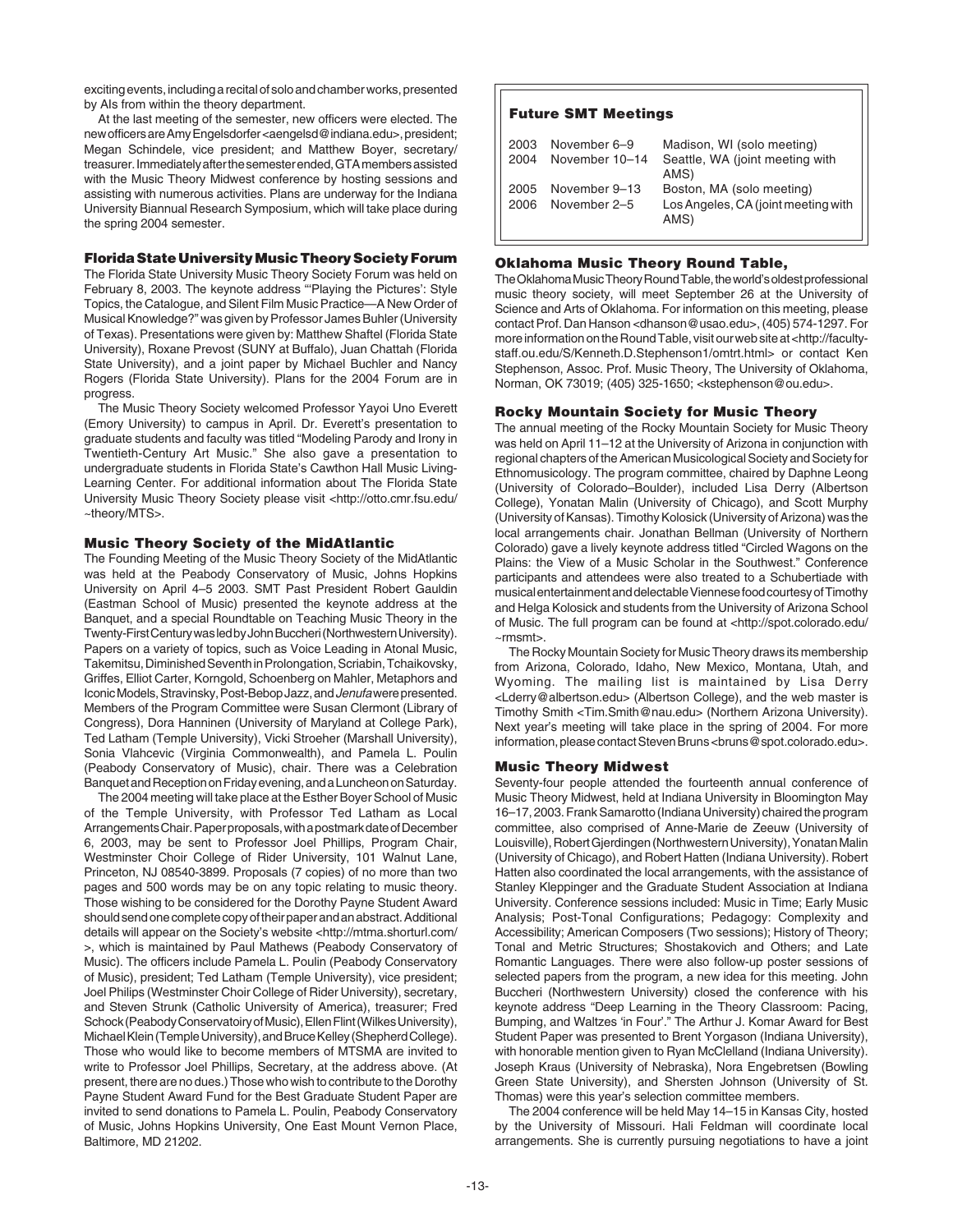exciting events, including a recital of solo and chamber works, presented by AIs from within the theory department.

At the last meeting of the semester, new officers were elected. The new officers are Amy Engelsdorfer <aengelsd@indiana.edu>, president; Megan Schindele, vice president; and Matthew Boyer, secretary/ treasurer. Immediately after the semester ended, GTA members assisted with the Music Theory Midwest conference by hosting sessions and assisting with numerous activities. Plans are underway for the Indiana University Biannual Research Symposium, which will take place during the spring 2004 semester.

## **Florida State University Music Theory Society Forum**

The Florida State University Music Theory Society Forum was held on February 8, 2003. The keynote address "'Playing the Pictures': Style Topics, the Catalogue, and Silent Film Music Practice—A New Order of Musical Knowledge?" was given by Professor James Buhler (University of Texas). Presentations were given by: Matthew Shaftel (Florida State University), Roxane Prevost (SUNY at Buffalo), Juan Chattah (Florida State University), and a joint paper by Michael Buchler and Nancy Rogers (Florida State University). Plans for the 2004 Forum are in progress.

The Music Theory Society welcomed Professor Yayoi Uno Everett (Emory University) to campus in April. Dr. Everett's presentation to graduate students and faculty was titled "Modeling Parody and Irony in Twentieth-Century Art Music." She also gave a presentation to undergraduate students in Florida State's Cawthon Hall Music Living-Learning Center. For additional information about The Florida State University Music Theory Society please visit <http://otto.cmr.fsu.edu/ ~theory/MTS>.

## **Music Theory Society of the MidAtlantic**

The Founding Meeting of the Music Theory Society of the MidAtlantic was held at the Peabody Conservatory of Music, Johns Hopkins University on April 4–5 2003. SMT Past President Robert Gauldin (Eastman School of Music) presented the keynote address at the Banquet, and a special Roundtable on Teaching Music Theory in the Twenty-First Century was led by John Buccheri (Northwestern University). Papers on a variety of topics, such as Voice Leading in Atonal Music, Takemitsu, Diminished Seventh in Prolongation, Scriabin, Tchaikovsky, Griffes, Elliot Carter, Korngold, Schoenberg on Mahler, Metaphors and Iconic Models, Stravinsky, Post-Bebop Jazz, and Jenufawere presented. Members of the Program Committee were Susan Clermont (Library of Congress), Dora Hanninen (University of Maryland at College Park), Ted Latham (Temple University), Vicki Stroeher (Marshall University), Sonia Vlahcevic (Virginia Commonwealth), and Pamela L. Poulin (Peabody Conservatory of Music), chair. There was a Celebration Banquet and Reception on Friday evening, and a Luncheon on Saturday.

The 2004 meeting will take place at the Esther Boyer School of Music of the Temple University, with Professor Ted Latham as Local Arrangements Chair. Paper proposals, with a postmark date of December 6, 2003, may be sent to Professor Joel Phillips, Program Chair, Westminster Choir College of Rider University, 101 Walnut Lane, Princeton, NJ 08540-3899. Proposals (7 copies) of no more than two pages and 500 words may be on any topic relating to music theory. Those wishing to be considered for the Dorothy Payne Student Award should send one complete copy of their paper and an abstract. Additional details will appear on the Society's website <http://mtma.shorturl.com/ >, which is maintained by Paul Mathews (Peabody Conservatory of Music). The officers include Pamela L. Poulin (Peabody Conservatory of Music), president; Ted Latham (Temple University), vice president; Joel Philips (Westminster Choir College of Rider University), secretary, and Steven Strunk (Catholic University of America), treasurer; Fred Schock (Peabody Conservatoiry of Music), Ellen Flint (Wilkes University), Michael Klein (Temple University), and Bruce Kelley (Shepherd College). Those who would like to become members of MTSMA are invited to write to Professor Joel Phillips, Secretary, at the address above. (At present, there are no dues.) Those who wish to contribute to the Dorothy Payne Student Award Fund for the Best Graduate Student Paper are invited to send donations to Pamela L. Poulin, Peabody Conservatory of Music, Johns Hopkins University, One East Mount Vernon Place, Baltimore, MD 21202.

## **Future SMT Meetings**

| 2003<br>2004 | November 6-9<br>November 10-14 | Madison, WI (solo meeting)<br>Seattle, WA (joint meeting with<br>AMS)    |
|--------------|--------------------------------|--------------------------------------------------------------------------|
| 2005<br>2006 | November 9-13<br>November 2-5  | Boston, MA (solo meeting)<br>Los Angeles, CA (joint meeting with<br>AMS) |

## **Oklahoma Music Theory Round Table,**

The Oklahoma Music Theory Round Table, the world's oldest professional music theory society, will meet September 26 at the University of Science and Arts of Oklahoma. For information on this meeting, please contact Prof. Dan Hanson <dhanson@usao.edu>, (405) 574-1297. For more information on the Round Table, visit our web site at <http://facultystaff.ou.edu/S/Kenneth.D.Stephenson1/omtrt.html> or contact Ken Stephenson, Assoc. Prof. Music Theory, The University of Oklahoma, Norman, OK 73019; (405) 325-1650; <kstephenson@ou.edu>.

#### **Rocky Mountain Society for Music Theory**

The annual meeting of the Rocky Mountain Society for Music Theory was held on April 11–12 at the University of Arizona in conjunction with regional chapters of the American Musicological Society and Society for Ethnomusicology. The program committee, chaired by Daphne Leong (University of Colorado–Boulder), included Lisa Derry (Albertson College), Yonatan Malin (University of Chicago), and Scott Murphy (University of Kansas). Timothy Kolosick (University of Arizona) was the local arrangements chair. Jonathan Bellman (University of Northern Colorado) gave a lively keynote address titled "Circled Wagons on the Plains: the View of a Music Scholar in the Southwest." Conference participants and attendees were also treated to a Schubertiade with musical entertainment and delectable Viennese food courtesy of Timothy and Helga Kolosick and students from the University of Arizona School of Music. The full program can be found at <http://spot.colorado.edu/ ~rmsmt>.

The Rocky Mountain Society for Music Theory draws its membership from Arizona, Colorado, Idaho, New Mexico, Montana, Utah, and Wyoming. The mailing list is maintained by Lisa Derry <Lderry@albertson.edu> (Albertson College), and the web master is Timothy Smith <Tim.Smith@nau.edu> (Northern Arizona University). Next year's meeting will take place in the spring of 2004. For more information, please contact Steven Bruns <br/>hruns@spot.colorado.edu>.

### **Music Theory Midwest**

Seventy-four people attended the fourteenth annual conference of Music Theory Midwest, held at Indiana University in Bloomington May 16–17, 2003. Frank Samarotto (Indiana University) chaired the program committee, also comprised of Anne-Marie de Zeeuw (University of Louisville), Robert Gjerdingen (Northwestern University), Yonatan Malin (University of Chicago), and Robert Hatten (Indiana University). Robert Hatten also coordinated the local arrangements, with the assistance of Stanley Kleppinger and the Graduate Student Association at Indiana University. Conference sessions included: Music in Time; Early Music Analysis; Post-Tonal Configurations; Pedagogy: Complexity and Accessibility; American Composers (Two sessions); History of Theory; Tonal and Metric Structures; Shostakovich and Others; and Late Romantic Languages. There were also follow-up poster sessions of selected papers from the program, a new idea for this meeting. John Buccheri (Northwestern University) closed the conference with his keynote address "Deep Learning in the Theory Classroom: Pacing, Bumping, and Waltzes 'in Four'." The Arthur J. Komar Award for Best Student Paper was presented to Brent Yorgason (Indiana University), with honorable mention given to Ryan McClelland (Indiana University). Joseph Kraus (University of Nebraska), Nora Engebretsen (Bowling Green State University), and Shersten Johnson (University of St. Thomas) were this year's selection committee members.

The 2004 conference will be held May 14–15 in Kansas City, hosted by the University of Missouri. Hali Feldman will coordinate local arrangements. She is currently pursuing negotiations to have a joint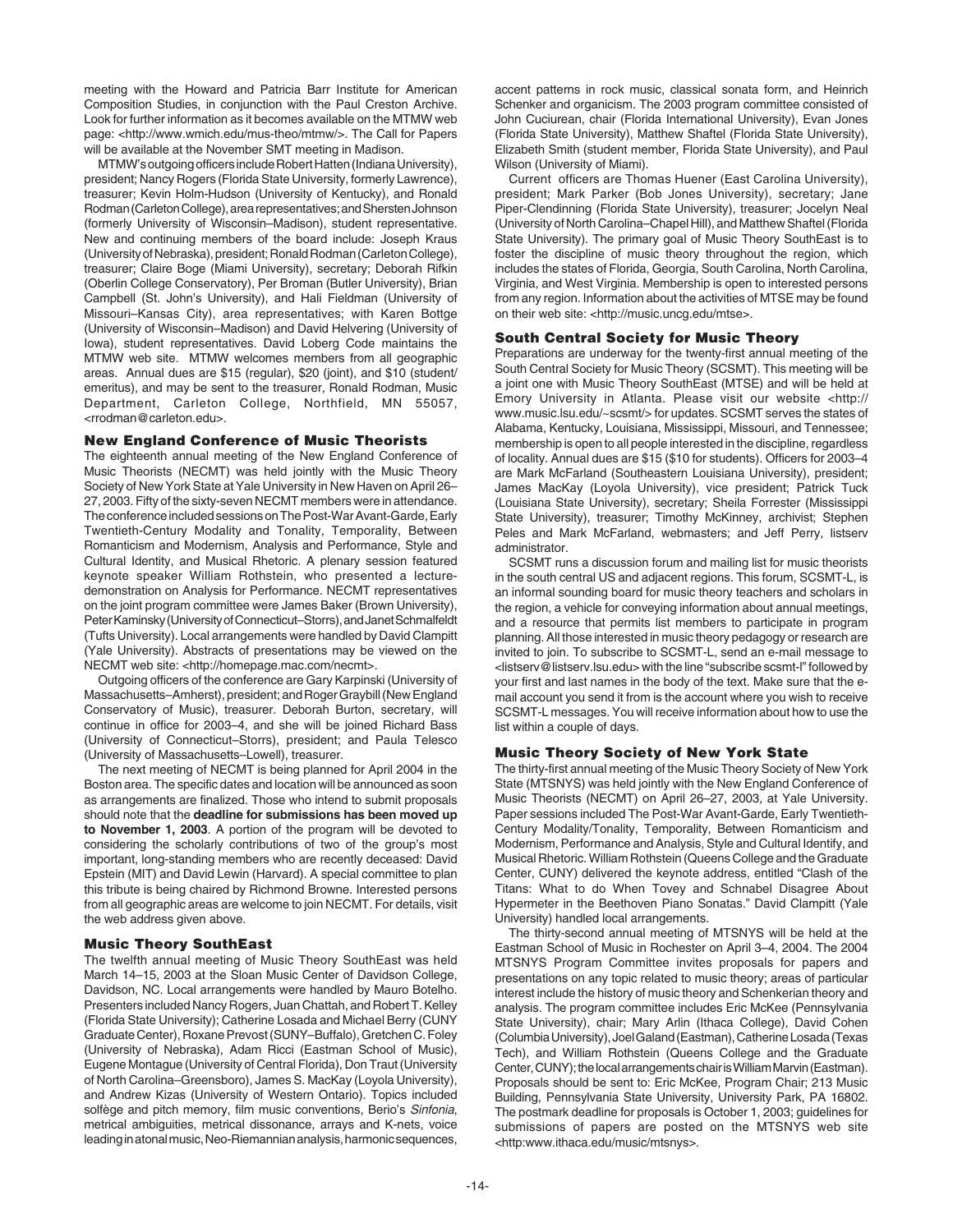meeting with the Howard and Patricia Barr Institute for American Composition Studies, in conjunction with the Paul Creston Archive. Look for further information as it becomes available on the MTMW web page: <http://www.wmich.edu/mus-theo/mtmw/>. The Call for Papers will be available at the November SMT meeting in Madison.

MTMW's outgoing officers include Robert Hatten (Indiana University), president; Nancy Rogers (Florida State University, formerly Lawrence), treasurer; Kevin Holm-Hudson (University of Kentucky), and Ronald Rodman (Carleton College), area representatives; and Shersten Johnson (formerly University of Wisconsin–Madison), student representative. New and continuing members of the board include: Joseph Kraus (University of Nebraska), president; Ronald Rodman (Carleton College), treasurer; Claire Boge (Miami University), secretary; Deborah Rifkin (Oberlin College Conservatory), Per Broman (Butler University), Brian Campbell (St. John's University), and Hali Fieldman (University of Missouri–Kansas City), area representatives; with Karen Bottge (University of Wisconsin–Madison) and David Helvering (University of Iowa), student representatives. David Loberg Code maintains the MTMW web site. MTMW welcomes members from all geographic areas. Annual dues are \$15 (regular), \$20 (joint), and \$10 (student/ emeritus), and may be sent to the treasurer, Ronald Rodman, Music Department, Carleton College, Northfield, MN 55057, <rrodman@carleton.edu>.

## **New England Conference of Music Theorists**

The eighteenth annual meeting of the New England Conference of Music Theorists (NECMT) was held jointly with the Music Theory Society of New York State at Yale University in New Haven on April 26– 27, 2003. Fifty of the sixty-seven NECMT members were in attendance. The conference included sessions on The Post-War Avant-Garde, Early Twentieth-Century Modality and Tonality, Temporality, Between Romanticism and Modernism, Analysis and Performance, Style and Cultural Identity, and Musical Rhetoric. A plenary session featured keynote speaker William Rothstein, who presented a lecturedemonstration on Analysis for Performance. NECMT representatives on the joint program committee were James Baker (Brown University), Peter Kaminsky (University of Connecticut–Storrs), and Janet Schmalfeldt (Tufts University). Local arrangements were handled by David Clampitt (Yale University). Abstracts of presentations may be viewed on the NECMT web site: <http://homepage.mac.com/necmt>.

Outgoing officers of the conference are Gary Karpinski (University of Massachusetts–Amherst), president; and Roger Graybill (New England Conservatory of Music), treasurer. Deborah Burton, secretary, will continue in office for 2003–4, and she will be joined Richard Bass (University of Connecticut–Storrs), president; and Paula Telesco (University of Massachusetts–Lowell), treasurer.

The next meeting of NECMT is being planned for April 2004 in the Boston area. The specific dates and location will be announced as soon as arrangements are finalized. Those who intend to submit proposals should note that the **deadline for submissions has been moved up to November 1, 2003**. A portion of the program will be devoted to considering the scholarly contributions of two of the group's most important, long-standing members who are recently deceased: David Epstein (MIT) and David Lewin (Harvard). A special committee to plan this tribute is being chaired by Richmond Browne. Interested persons from all geographic areas are welcome to join NECMT. For details, visit the web address given above.

#### **Music Theory SouthEast**

The twelfth annual meeting of Music Theory SouthEast was held March 14–15, 2003 at the Sloan Music Center of Davidson College, Davidson, NC. Local arrangements were handled by Mauro Botelho. Presenters included Nancy Rogers, Juan Chattah, and Robert T. Kelley (Florida State University); Catherine Losada and Michael Berry (CUNY Graduate Center), Roxane Prevost (SUNY–Buffalo), Gretchen C. Foley (University of Nebraska), Adam Ricci (Eastman School of Music), Eugene Montague (University of Central Florida), Don Traut (University of North Carolina–Greensboro), James S. MacKay (Loyola University), and Andrew Kizas (University of Western Ontario). Topics included solfège and pitch memory, film music conventions, Berio's Sinfonia, metrical ambiguities, metrical dissonance, arrays and K-nets, voice leading in atonal music, Neo-Riemannian analysis, harmonic sequences,

accent patterns in rock music, classical sonata form, and Heinrich Schenker and organicism. The 2003 program committee consisted of John Cuciurean, chair (Florida International University), Evan Jones (Florida State University), Matthew Shaftel (Florida State University), Elizabeth Smith (student member, Florida State University), and Paul Wilson (University of Miami).

Current officers are Thomas Huener (East Carolina University), president; Mark Parker (Bob Jones University), secretary; Jane Piper-Clendinning (Florida State University), treasurer; Jocelyn Neal (University of North Carolina–Chapel Hill), and Matthew Shaftel (Florida State University). The primary goal of Music Theory SouthEast is to foster the discipline of music theory throughout the region, which includes the states of Florida, Georgia, South Carolina, North Carolina, Virginia, and West Virginia. Membership is open to interested persons from any region. Information about the activities of MTSE may be found on their web site: <http://music.uncg.edu/mtse>.

#### **South Central Society for Music Theory**

Preparations are underway for the twenty-first annual meeting of the South Central Society for Music Theory (SCSMT). This meeting will be a joint one with Music Theory SouthEast (MTSE) and will be held at Emory University in Atlanta. Please visit our website <http:// www.music.lsu.edu/~scsmt/> for updates. SCSMT serves the states of Alabama, Kentucky, Louisiana, Mississippi, Missouri, and Tennessee; membership is open to all people interested in the discipline, regardless of locality. Annual dues are \$15 (\$10 for students). Officers for 2003–4 are Mark McFarland (Southeastern Louisiana University), president; James MacKay (Loyola University), vice president; Patrick Tuck (Louisiana State University), secretary; Sheila Forrester (Mississippi State University), treasurer; Timothy McKinney, archivist; Stephen Peles and Mark McFarland, webmasters; and Jeff Perry, listserv administrator.

SCSMT runs a discussion forum and mailing list for music theorists in the south central US and adjacent regions. This forum, SCSMT-L, is an informal sounding board for music theory teachers and scholars in the region, a vehicle for conveying information about annual meetings, and a resource that permits list members to participate in program planning. All those interested in music theory pedagogy or research are invited to join. To subscribe to SCSMT-L, send an e-mail message to <listserv@listserv.lsu.edu> with the line "subscribe scsmt-l" followed by your first and last names in the body of the text. Make sure that the email account you send it from is the account where you wish to receive SCSMT-L messages. You will receive information about how to use the list within a couple of days.

## **Music Theory Society of New York State**

The thirty-first annual meeting of the Music Theory Society of New York State (MTSNYS) was held jointly with the New England Conference of Music Theorists (NECMT) on April 26–27, 2003, at Yale University. Paper sessions included The Post-War Avant-Garde, Early Twentieth-Century Modality/Tonality, Temporality, Between Romanticism and Modernism, Performance and Analysis, Style and Cultural Identify, and Musical Rhetoric. William Rothstein (Queens College and the Graduate Center, CUNY) delivered the keynote address, entitled "Clash of the Titans: What to do When Tovey and Schnabel Disagree About Hypermeter in the Beethoven Piano Sonatas." David Clampitt (Yale University) handled local arrangements.

The thirty-second annual meeting of MTSNYS will be held at the Eastman School of Music in Rochester on April 3–4, 2004. The 2004 MTSNYS Program Committee invites proposals for papers and presentations on any topic related to music theory; areas of particular interest include the history of music theory and Schenkerian theory and analysis. The program committee includes Eric McKee (Pennsylvania State University), chair; Mary Arlin (Ithaca College), David Cohen (Columbia University), Joel Galand (Eastman), Catherine Losada (Texas Tech), and William Rothstein (Queens College and the Graduate Center, CUNY); the local arrangements chair is William Marvin (Eastman). Proposals should be sent to: Eric McKee, Program Chair; 213 Music Building, Pennsylvania State University, University Park, PA 16802. The postmark deadline for proposals is October 1, 2003; guidelines for submissions of papers are posted on the MTSNYS web site <http:www.ithaca.edu/music/mtsnys>.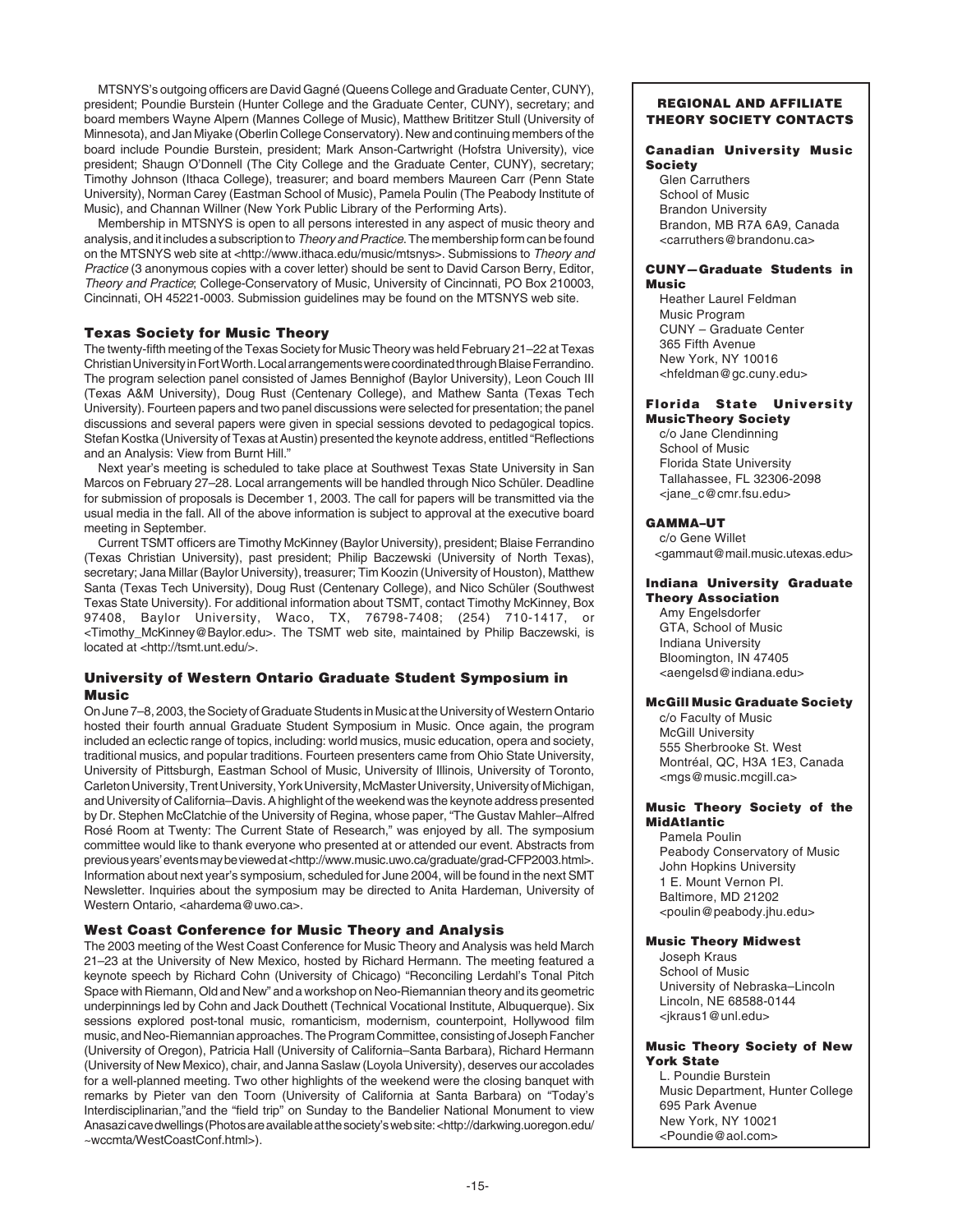MTSNYS's outgoing officers are David Gagné (Queens College and Graduate Center, CUNY), president; Poundie Burstein (Hunter College and the Graduate Center, CUNY), secretary; and board members Wayne Alpern (Mannes College of Music), Matthew Brititzer Stull (University of Minnesota), and Jan Miyake (Oberlin College Conservatory). New and continuing members of the board include Poundie Burstein, president; Mark Anson-Cartwright (Hofstra University), vice president; Shaugn O'Donnell (The City College and the Graduate Center, CUNY), secretary; Timothy Johnson (Ithaca College), treasurer; and board members Maureen Carr (Penn State University), Norman Carey (Eastman School of Music), Pamela Poulin (The Peabody Institute of Music), and Channan Willner (New York Public Library of the Performing Arts).

Membership in MTSNYS is open to all persons interested in any aspect of music theory and analysis, and it includes a subscription to Theory and Practice. The membership form can be found on the MTSNYS web site at <http://www.ithaca.edu/music/mtsnys>. Submissions to Theory and Practice (3 anonymous copies with a cover letter) should be sent to David Carson Berry, Editor, Theory and Practice; College-Conservatory of Music, University of Cincinnati, PO Box 210003, Cincinnati, OH 45221-0003. Submission guidelines may be found on the MTSNYS web site.

## **Texas Society for Music Theory**

The twenty-fifth meeting of the Texas Society for Music Theory was held February 21–22 at Texas Christian University in Fort Worth. Local arrangements were coordinated through Blaise Ferrandino. The program selection panel consisted of James Bennighof (Baylor University), Leon Couch III (Texas A&M University), Doug Rust (Centenary College), and Mathew Santa (Texas Tech University). Fourteen papers and two panel discussions were selected for presentation; the panel discussions and several papers were given in special sessions devoted to pedagogical topics. Stefan Kostka (University of Texas at Austin) presented the keynote address, entitled "Reflections and an Analysis: View from Burnt Hill."

Next year's meeting is scheduled to take place at Southwest Texas State University in San Marcos on February 27–28. Local arrangements will be handled through Nico Schüler. Deadline for submission of proposals is December 1, 2003. The call for papers will be transmitted via the usual media in the fall. All of the above information is subject to approval at the executive board meeting in September.

Current TSMT officers are Timothy McKinney (Baylor University), president; Blaise Ferrandino (Texas Christian University), past president; Philip Baczewski (University of North Texas), secretary; Jana Millar (Baylor University), treasurer; Tim Koozin (University of Houston), Matthew Santa (Texas Tech University), Doug Rust (Centenary College), and Nico Schüler (Southwest Texas State University). For additional information about TSMT, contact Timothy McKinney, Box 97408, Baylor University, Waco, TX, 76798-7408; (254) 710-1417, or <Timothy\_McKinney@Baylor.edu>. The TSMT web site, maintained by Philip Baczewski, is located at <http://tsmt.unt.edu/>.

## **University of Western Ontario Graduate Student Symposium in Music**

On June 7–8, 2003, the Society of Graduate Students in Music at the University of Western Ontario hosted their fourth annual Graduate Student Symposium in Music. Once again, the program included an eclectic range of topics, including: world musics, music education, opera and society, traditional musics, and popular traditions. Fourteen presenters came from Ohio State University, University of Pittsburgh, Eastman School of Music, University of Illinois, University of Toronto, Carleton University, Trent University, York University, McMaster University, University of Michigan, and University of California–Davis. A highlight of the weekend was the keynote address presented by Dr. Stephen McClatchie of the University of Regina, whose paper, "The Gustav Mahler–Alfred Rosé Room at Twenty: The Current State of Research," was enjoyed by all. The symposium committee would like to thank everyone who presented at or attended our event. Abstracts from previous years' events may be viewed at <http://www.music.uwo.ca/graduate/grad-CFP2003.html>. Information about next year's symposium, scheduled for June 2004, will be found in the next SMT Newsletter. Inquiries about the symposium may be directed to Anita Hardeman, University of Western Ontario, <ahardema@uwo.ca>.

## **West Coast Conference for Music Theory and Analysis**

The 2003 meeting of the West Coast Conference for Music Theory and Analysis was held March 21–23 at the University of New Mexico, hosted by Richard Hermann. The meeting featured a keynote speech by Richard Cohn (University of Chicago) "Reconciling Lerdahl's Tonal Pitch Space with Riemann, Old and New" and a workshop on Neo-Riemannian theory and its geometric underpinnings led by Cohn and Jack Douthett (Technical Vocational Institute, Albuquerque). Six sessions explored post-tonal music, romanticism, modernism, counterpoint, Hollywood film music, and Neo-Riemannian approaches. The Program Committee, consisting of Joseph Fancher (University of Oregon), Patricia Hall (University of California–Santa Barbara), Richard Hermann (University of New Mexico), chair, and Janna Saslaw (Loyola University), deserves our accolades for a well-planned meeting. Two other highlights of the weekend were the closing banquet with remarks by Pieter van den Toorn (University of California at Santa Barbara) on "Today's Interdisciplinarian,"and the "field trip" on Sunday to the Bandelier National Monument to view Anasazi cave dwellings (Photos are available at the society's web site: <http://darkwing.uoregon.edu/ ~wccmta/WestCoastConf.html>).

## **REGIONAL AND AFFILIATE THEORY SOCIETY CONTACTS**

## **Canadian University Music Society**

Glen Carruthers School of Music Brandon University Brandon, MB R7A 6A9, Canada <carruthers@brandonu.ca>

#### **CUNY—Graduate Students in Music**

Heather Laurel Feldman Music Program CUNY – Graduate Center 365 Fifth Avenue New York, NY 10016 <hfeldman@gc.cuny.edu>

# **Florida State University**

**MusicTheory Society** c/o Jane Clendinning School of Music Florida State University Tallahassee, FL 32306-2098 <jane\_c@cmr.fsu.edu>

## **GAMMA–UT**

c/o Gene Willet <gammaut@mail.music.utexas.edu>

## **Indiana University Graduate Theory Association**

Amy Engelsdorfer GTA, School of Music Indiana University Bloomington, IN 47405 <aengelsd@indiana.edu>

## **McGill Music Graduate Society**

c/o Faculty of Music McGill University 555 Sherbrooke St. West Montréal, QC, H3A 1E3, Canada <mgs@music.mcgill.ca>

#### **Music Theory Society of the MidAtlantic**

Pamela Poulin Peabody Conservatory of Music John Hopkins University 1 E. Mount Vernon Pl. Baltimore, MD 21202 <poulin@peabody.jhu.edu>

## **Music Theory Midwest**

Joseph Kraus School of Music University of Nebraska–Lincoln Lincoln, NE 68588-0144 <jkraus1@unl.edu>

#### **Music Theory Society of New York State**

L. Poundie Burstein Music Department, Hunter College 695 Park Avenue New York, NY 10021 <Poundie@aol.com>